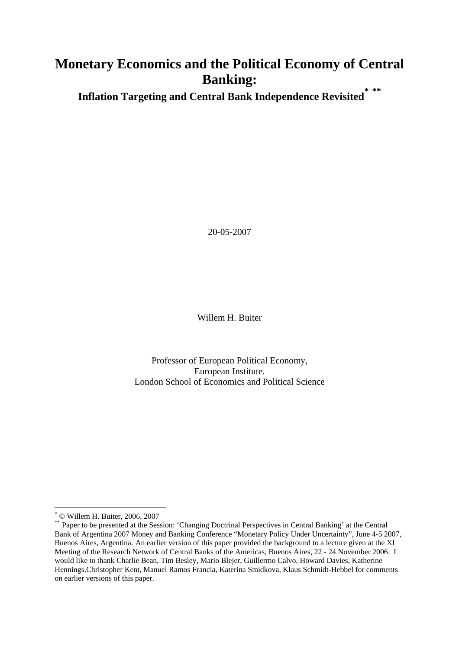# **Monetary Economics and the Political Economy of Central Banking: \* \*\***

**Inflation Targeting and Central Bank Independence Revisited**

20-05-2007

Willem H. Buiter

Professor of European Political Economy, European Institute. London School of Economics and Political Science

 $\overline{a}$ 

<sup>\*</sup> © Willem H. Buiter, 2006, 2007

<sup>\*\*</sup> Paper to be presented at the Session: 'Changing Doctrinal Perspectives in Central Banking' at the Central Bank of Argentina 2007 Money and Banking Conference "Monetary Policy Under Uncertainty", June 4-5 2007, Buenos Aires, Argentina. An earlier version of this paper provided the background to a lecture given at the XI Meeting of the Research Network of Central Banks of the Americas, Buenos Aires, 22 - 24 November 2006. I would like to thank Charlie Bean, Tim Besley, Mario Blejer, Guillermo Calvo, Howard Davies, Katherine Hennings,Christopher Kent, Manuel Ramos Francia, Katerina Smidkova, Klaus Schmidt-Hebbel for comments on earlier versions of this paper.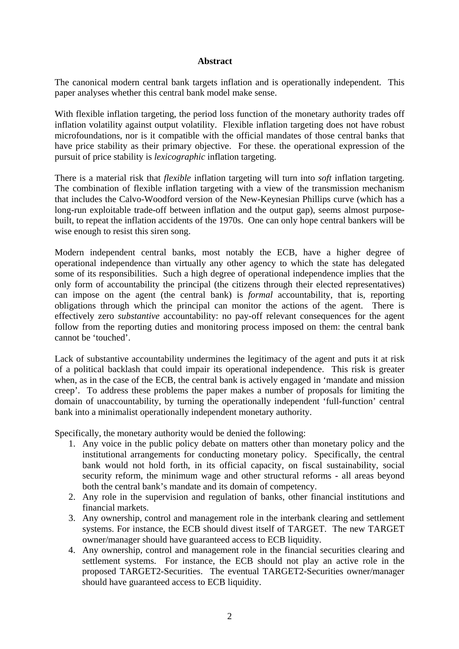#### **Abstract**

The canonical modern central bank targets inflation and is operationally independent. This paper analyses whether this central bank model make sense.

With flexible inflation targeting, the period loss function of the monetary authority trades off inflation volatility against output volatility. Flexible inflation targeting does not have robust microfoundations, nor is it compatible with the official mandates of those central banks that have price stability as their primary objective. For these. the operational expression of the pursuit of price stability is *lexicographic* inflation targeting.

There is a material risk that *flexible* inflation targeting will turn into *soft* inflation targeting. The combination of flexible inflation targeting with a view of the transmission mechanism that includes the Calvo-Woodford version of the New-Keynesian Phillips curve (which has a long-run exploitable trade-off between inflation and the output gap), seems almost purposebuilt, to repeat the inflation accidents of the 1970s. One can only hope central bankers will be wise enough to resist this siren song.

Modern independent central banks, most notably the ECB, have a higher degree of operational independence than virtually any other agency to which the state has delegated some of its responsibilities. Such a high degree of operational independence implies that the only form of accountability the principal (the citizens through their elected representatives) can impose on the agent (the central bank) is *formal* accountability, that is, reporting obligations through which the principal can monitor the actions of the agent. There is effectively zero *substantive* accountability: no pay-off relevant consequences for the agent follow from the reporting duties and monitoring process imposed on them: the central bank cannot be 'touched'.

Lack of substantive accountability undermines the legitimacy of the agent and puts it at risk of a political backlash that could impair its operational independence. This risk is greater when, as in the case of the ECB, the central bank is actively engaged in 'mandate and mission creep'. To address these problems the paper makes a number of proposals for limiting the domain of unaccountability, by turning the operationally independent 'full-function' central bank into a minimalist operationally independent monetary authority.

Specifically, the monetary authority would be denied the following:

- 1. Any voice in the public policy debate on matters other than monetary policy and the institutional arrangements for conducting monetary policy. Specifically, the central bank would not hold forth, in its official capacity, on fiscal sustainability, social security reform, the minimum wage and other structural reforms - all areas beyond both the central bank's mandate and its domain of competency.
- 2. Any role in the supervision and regulation of banks, other financial institutions and financial markets.
- 3. Any ownership, control and management role in the interbank clearing and settlement systems. For instance, the ECB should divest itself of TARGET. The new TARGET owner/manager should have guaranteed access to ECB liquidity.
- 4. Any ownership, control and management role in the financial securities clearing and settlement systems. For instance, the ECB should not play an active role in the proposed TARGET2-Securities. The eventual TARGET2-Securities owner/manager should have guaranteed access to ECB liquidity.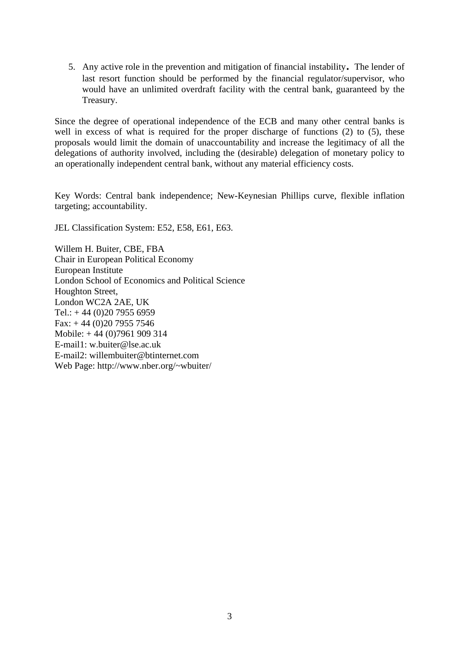5. Any active role in the prevention and mitigation of financial instability. The lender of last resort function should be performed by the financial regulator/supervisor, who would have an unlimited overdraft facility with the central bank, guaranteed by the Treasury.

Since the degree of operational independence of the ECB and many other central banks is well in excess of what is required for the proper discharge of functions (2) to (5), these proposals would limit the domain of unaccountability and increase the legitimacy of all the delegations of authority involved, including the (desirable) delegation of monetary policy to an operationally independent central bank, without any material efficiency costs.

Key Words: Central bank independence; New-Keynesian Phillips curve, flexible inflation targeting; accountability.

JEL Classification System: E52, E58, E61, E63.

Willem H. Buiter, CBE, FBA Chair in European Political Economy European Institute London School of Economics and Political Science Houghton Street, London WC2A 2AE, UK Tel.:  $+44(0)2079556959$ Fax: + 44 (0)20 7955 7546 Mobile: + 44 (0)7961 909 314 E-mail1: w.buiter@lse.ac.uk E-mail2: willembuiter@btinternet.com Web Page: http://www.nber.org/~wbuiter/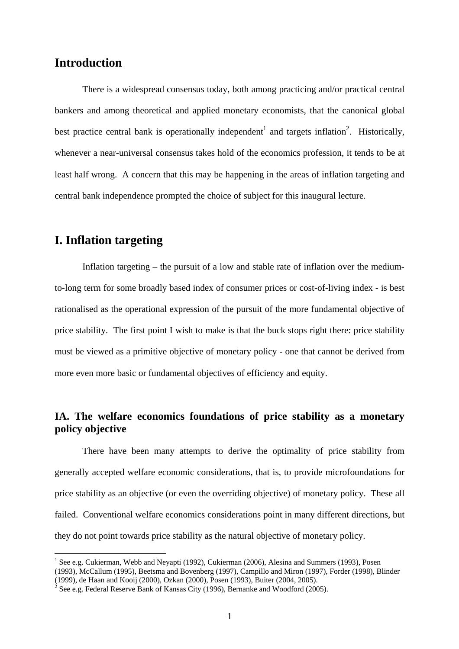# **Introduction**

There is a widespread consensus today, both among practicing and/or practical central bankers and among theoretical and applied monetary economists, that the canonical global best practice central bank is operationally independent<sup>1</sup> and targets inflation<sup>2</sup>. Historically, whenever a near-universal consensus takes hold of the economics profession, it tends to be at least half wrong. A concern that this may be happening in the areas of inflation targeting and central bank independence prompted the choice of subject for this inaugural lecture.

# **I. Inflation targeting**

 $\overline{a}$ 

Inflation targeting – the pursuit of a low and stable rate of inflation over the mediumto-long term for some broadly based index of consumer prices or cost-of-living index - is best rationalised as the operational expression of the pursuit of the more fundamental objective of price stability. The first point I wish to make is that the buck stops right there: price stability must be viewed as a primitive objective of monetary policy - one that cannot be derived from more even more basic or fundamental objectives of efficiency and equity.

# **IA. The welfare economics foundations of price stability as a monetary policy objective**

 There have been many attempts to derive the optimality of price stability from generally accepted welfare economic considerations, that is, to provide microfoundations for price stability as an objective (or even the overriding objective) of monetary policy. These all failed. Conventional welfare economics considerations point in many different directions, but they do not point towards price stability as the natural objective of monetary policy.

<sup>&</sup>lt;sup>1</sup> See e.g. Cukierman, Webb and Neyapti (1992), Cukierman (2006), Alesina and Summers (1993), Posen (1993), McCallum (1995), Beetsma and Bovenberg (1997), Campillo and Miron (1997), Forder (1998), Blinder

<sup>(1999),</sup> de Haan and Kooij (2000), Ozkan (2000), Posen (1993), Buiter (2004, 2005).

<sup>&</sup>lt;sup>2</sup> See e.g. Federal Reserve Bank of Kansas City (1996), Bernanke and Woodford (2005).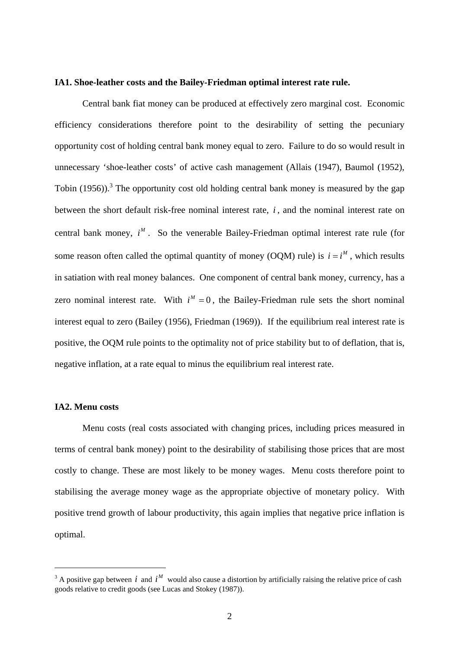#### **IA1. Shoe-leather costs and the Bailey-Friedman optimal interest rate rule.**

Central bank fiat money can be produced at effectively zero marginal cost. Economic efficiency considerations therefore point to the desirability of setting the pecuniary opportunity cost of holding central bank money equal to zero. Failure to do so would result in unnecessary 'shoe-leather costs' of active cash management (Allais (1947), Baumol (1952), Tobin (1956)).<sup>3</sup> The opportunity cost old holding central bank money is measured by the gap between the short default risk-free nominal interest rate, *i* , and the nominal interest rate on central bank money,  $i^M$ . So the venerable Bailey-Friedman optimal interest rate rule (for some reason often called the optimal quantity of money (OQM) rule) is  $i = i^M$ , which results in satiation with real money balances. One component of central bank money, currency, has a zero nominal interest rate. With  $i^M = 0$ , the Bailey-Friedman rule sets the short nominal interest equal to zero (Bailey (1956), Friedman (1969)). If the equilibrium real interest rate is positive, the OQM rule points to the optimality not of price stability but to of deflation, that is, negative inflation, at a rate equal to minus the equilibrium real interest rate.

#### **IA2. Menu costs**

 $\overline{a}$ 

 Menu costs (real costs associated with changing prices, including prices measured in terms of central bank money) point to the desirability of stabilising those prices that are most costly to change. These are most likely to be money wages. Menu costs therefore point to stabilising the average money wage as the appropriate objective of monetary policy. With positive trend growth of labour productivity, this again implies that negative price inflation is optimal.

<sup>&</sup>lt;sup>3</sup> A positive gap between *i* and  $i^M$  would also cause a distortion by artificially raising the relative price of cash goods relative to credit goods (see Lucas and Stokey (1987)).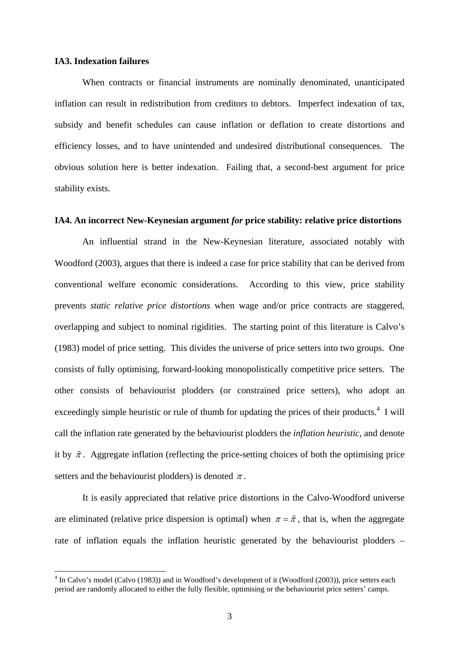#### **IA3. Indexation failures**

 $\overline{a}$ 

When contracts or financial instruments are nominally denominated, unanticipated inflation can result in redistribution from creditors to debtors. Imperfect indexation of tax, subsidy and benefit schedules can cause inflation or deflation to create distortions and efficiency losses, and to have unintended and undesired distributional consequences. The obvious solution here is better indexation. Failing that, a second-best argument for price stability exists.

#### **IA4. An incorrect New-Keynesian argument** *for* **price stability: relative price distortions**

An influential strand in the New-Keynesian literature, associated notably with Woodford (2003), argues that there is indeed a case for price stability that can be derived from conventional welfare economic considerations. According to this view, price stability prevents *static relative price distortions* when wage and/or price contracts are staggered, overlapping and subject to nominal rigidities. The starting point of this literature is Calvo's (1983) model of price setting. This divides the universe of price setters into two groups. One consists of fully optimising, forward-looking monopolistically competitive price setters. The other consists of behaviourist plodders (or constrained price setters), who adopt an exceedingly simple heuristic or rule of thumb for updating the prices of their products. $4 \text{ I will}$ call the inflation rate generated by the behaviourist plodders the *inflation heuristic*, and denote it by  $\tilde{\pi}$ . Aggregate inflation (reflecting the price-setting choices of both the optimising price setters and the behaviourist plodders) is denoted  $\pi$ .

 It is easily appreciated that relative price distortions in the Calvo-Woodford universe are eliminated (relative price dispersion is optimal) when  $\pi = \tilde{\pi}$ , that is, when the aggregate rate of inflation equals the inflation heuristic generated by the behaviourist plodders –

<sup>&</sup>lt;sup>4</sup> In Calvo's model (Calvo (1983)) and in Woodford's development of it (Woodford (2003)), price setters each period are randomly allocated to either the fully flexible, optimising or the behaviourist price setters' camps.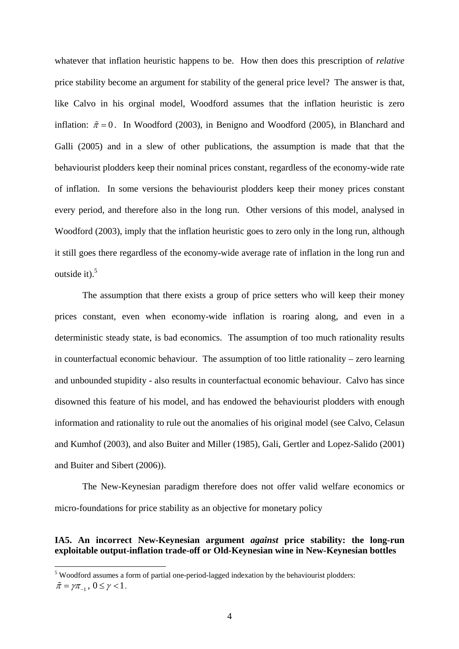whatever that inflation heuristic happens to be. How then does this prescription of *relative* price stability become an argument for stability of the general price level? The answer is that, like Calvo in his orginal model, Woodford assumes that the inflation heuristic is zero inflation:  $\tilde{\pi} = 0$ . In Woodford (2003), in Benigno and Woodford (2005), in Blanchard and Galli (2005) and in a slew of other publications, the assumption is made that that the behaviourist plodders keep their nominal prices constant, regardless of the economy-wide rate of inflation. In some versions the behaviourist plodders keep their money prices constant every period, and therefore also in the long run. Other versions of this model, analysed in Woodford (2003), imply that the inflation heuristic goes to zero only in the long run, although it still goes there regardless of the economy-wide average rate of inflation in the long run and outside it). $5$ 

 The assumption that there exists a group of price setters who will keep their money prices constant, even when economy-wide inflation is roaring along, and even in a deterministic steady state, is bad economics. The assumption of too much rationality results in counterfactual economic behaviour. The assumption of too little rationality – zero learning and unbounded stupidity - also results in counterfactual economic behaviour. Calvo has since disowned this feature of his model, and has endowed the behaviourist plodders with enough information and rationality to rule out the anomalies of his original model (see Calvo, Celasun and Kumhof (2003), and also Buiter and Miller (1985), Gali, Gertler and Lopez-Salido (2001) and Buiter and Sibert (2006)).

The New-Keynesian paradigm therefore does not offer valid welfare economics or micro-foundations for price stability as an objective for monetary policy

### **IA5. An incorrect New-Keynesian argument** *against* **price stability: the long-run exploitable output-inflation trade-off or Old-Keynesian wine in New-Keynesian bottles**

 $\overline{a}$ 

<sup>&</sup>lt;sup>5</sup> Woodford assumes a form of partial one-period-lagged indexation by the behaviourist plodders:  $\tilde{\pi} = \gamma \pi_{-1}$ ,  $0 \leq \gamma < 1$ .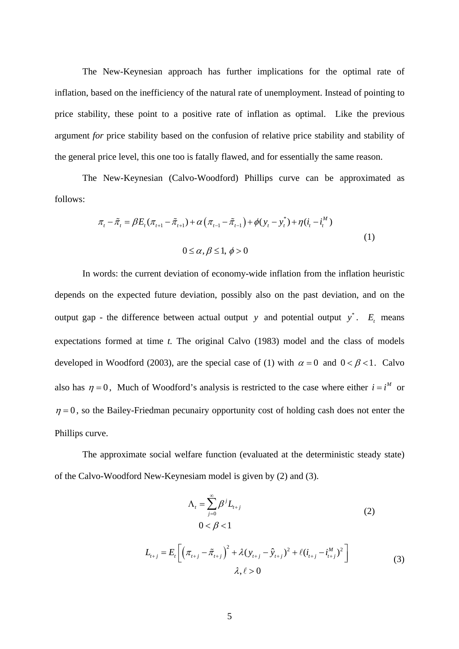The New-Keynesian approach has further implications for the optimal rate of inflation, based on the inefficiency of the natural rate of unemployment. Instead of pointing to price stability, these point to a positive rate of inflation as optimal. Like the previous argument *for* price stability based on the confusion of relative price stability and stability of the general price level, this one too is fatally flawed, and for essentially the same reason.

The New-Keynesian (Calvo-Woodford) Phillips curve can be approximated as follows:

$$
\pi_{t} - \tilde{\pi}_{t} = \beta E_{t} (\pi_{t+1} - \tilde{\pi}_{t+1}) + \alpha (\pi_{t-1} - \tilde{\pi}_{t-1}) + \phi (y_{t} - y_{t}^{*}) + \eta (i_{t} - i_{t}^{M})
$$
\n
$$
0 \le \alpha, \beta \le 1, \ \phi > 0
$$
\n(1)

In words: the current deviation of economy-wide inflation from the inflation heuristic depends on the expected future deviation, possibly also on the past deviation, and on the output gap - the difference between actual output  $y$  and potential output  $y^*$ .  $E_t$  means expectations formed at time *t.* The original Calvo (1983) model and the class of models developed in Woodford (2003), are the special case of (1) with  $\alpha = 0$  and  $0 < \beta < 1$ . Calvo also has  $\eta = 0$ . Much of Woodford's analysis is restricted to the case where either  $i = i^M$  or  $\eta = 0$ , so the Bailey-Friedman pecunairy opportunity cost of holding cash does not enter the Phillips curve.

The approximate social welfare function (evaluated at the deterministic steady state) of the Calvo-Woodford New-Keynesiam model is given by (2) and (3).

$$
\Lambda_{t} = \sum_{j=0}^{\infty} \beta^{j} L_{t+j}
$$
\n
$$
0 < \beta < 1
$$
\n
$$
\Gamma \left[ \left( \pi - \tilde{\pi} \right)^{2} + \lambda (y - \hat{y})^{2} + \ell (i - j^{M})^{2} \right]
$$
\n
$$
(2)
$$

$$
L_{t+j} = E_t \left[ \left( \pi_{t+j} - \tilde{\pi}_{t+j} \right)^2 + \lambda (y_{t+j} - \hat{y}_{t+j})^2 + \ell (i_{t+j} - i_{t+j}^M)^2 \right] \tag{3}
$$
  

$$
\lambda, \ell > 0
$$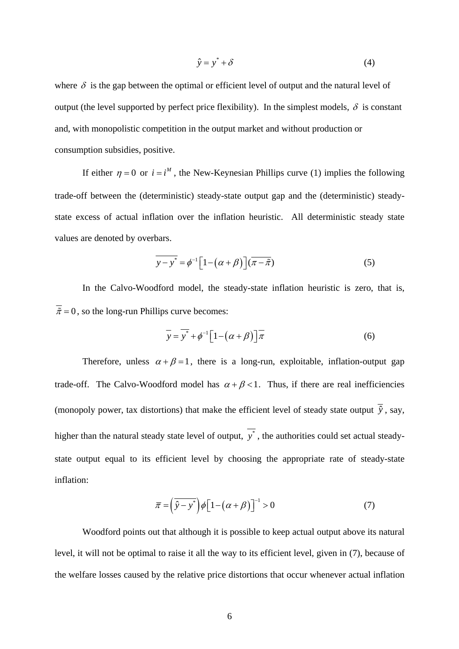$$
\hat{y} = y^* + \delta \tag{4}
$$

where  $\delta$  is the gap between the optimal or efficient level of output and the natural level of output (the level supported by perfect price flexibility). In the simplest models,  $\delta$  is constant and, with monopolistic competition in the output market and without production or consumption subsidies, positive.

If either  $\eta = 0$  or  $i = i^M$ , the New-Keynesian Phillips curve (1) implies the following trade-off between the (deterministic) steady-state output gap and the (deterministic) steadystate excess of actual inflation over the inflation heuristic. All deterministic steady state values are denoted by overbars.

$$
\overline{y-y^*} = \phi^{-1} \Big[ 1 - \big(\alpha + \beta\big) \Big] (\overline{\pi - \tilde{\pi}}) \tag{5}
$$

In the Calvo-Woodford model, the steady-state inflation heuristic is zero, that is,  $\overline{\tilde{\pi}} = 0$ , so the long-run Phillips curve becomes:

$$
\overline{y} = \overline{y^*} + \phi^{-1} \Big[ 1 - \big( \alpha + \beta \big) \Big] \overline{\pi}
$$
 (6)

Therefore, unless  $\alpha + \beta = 1$ , there is a long-run, exploitable, inflation-output gap trade-off. The Calvo-Woodford model has  $\alpha + \beta < 1$ . Thus, if there are real inefficiencies (monopoly power, tax distortions) that make the efficient level of steady state output  $\overline{\hat{y}}$ , say, higher than the natural steady state level of output,  $\overline{v^*}$ , the authorities could set actual steadystate output equal to its efficient level by choosing the appropriate rate of steady-state inflation:

$$
\overline{\pi} = \left(\hat{y} - y^*\right) \phi \left[1 - \left(\alpha + \beta\right)\right]^{-1} > 0\tag{7}
$$

Woodford points out that although it is possible to keep actual output above its natural level, it will not be optimal to raise it all the way to its efficient level, given in (7), because of the welfare losses caused by the relative price distortions that occur whenever actual inflation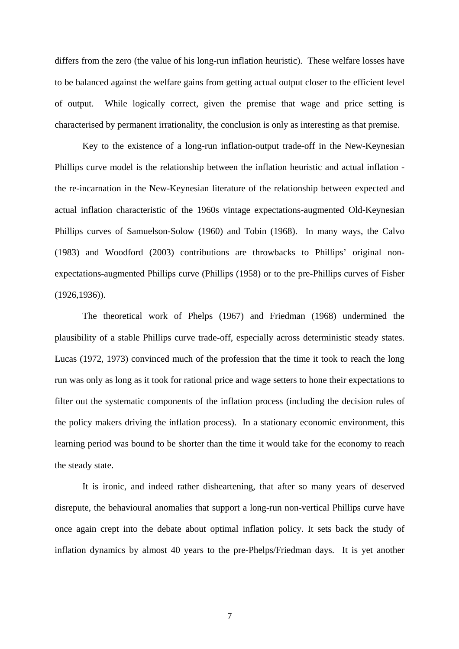differs from the zero (the value of his long-run inflation heuristic). These welfare losses have to be balanced against the welfare gains from getting actual output closer to the efficient level of output. While logically correct, given the premise that wage and price setting is characterised by permanent irrationality, the conclusion is only as interesting as that premise.

Key to the existence of a long-run inflation-output trade-off in the New-Keynesian Phillips curve model is the relationship between the inflation heuristic and actual inflation the re-incarnation in the New-Keynesian literature of the relationship between expected and actual inflation characteristic of the 1960s vintage expectations-augmented Old-Keynesian Phillips curves of Samuelson-Solow (1960) and Tobin (1968). In many ways, the Calvo (1983) and Woodford (2003) contributions are throwbacks to Phillips' original nonexpectations-augmented Phillips curve (Phillips (1958) or to the pre-Phillips curves of Fisher (1926,1936)).

The theoretical work of Phelps (1967) and Friedman (1968) undermined the plausibility of a stable Phillips curve trade-off, especially across deterministic steady states. Lucas (1972, 1973) convinced much of the profession that the time it took to reach the long run was only as long as it took for rational price and wage setters to hone their expectations to filter out the systematic components of the inflation process (including the decision rules of the policy makers driving the inflation process). In a stationary economic environment, this learning period was bound to be shorter than the time it would take for the economy to reach the steady state.

It is ironic, and indeed rather disheartening, that after so many years of deserved disrepute, the behavioural anomalies that support a long-run non-vertical Phillips curve have once again crept into the debate about optimal inflation policy. It sets back the study of inflation dynamics by almost 40 years to the pre-Phelps/Friedman days. It is yet another

7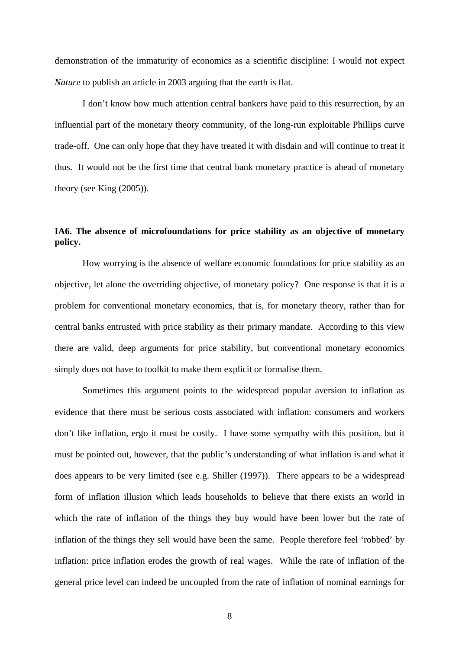demonstration of the immaturity of economics as a scientific discipline: I would not expect *Nature* to publish an article in 2003 arguing that the earth is flat.

I don't know how much attention central bankers have paid to this resurrection, by an influential part of the monetary theory community, of the long-run exploitable Phillips curve trade-off. One can only hope that they have treated it with disdain and will continue to treat it thus. It would not be the first time that central bank monetary practice is ahead of monetary theory (see King (2005)).

### **IA6. The absence of microfoundations for price stability as an objective of monetary policy.**

 How worrying is the absence of welfare economic foundations for price stability as an objective, let alone the overriding objective, of monetary policy? One response is that it is a problem for conventional monetary economics, that is, for monetary theory, rather than for central banks entrusted with price stability as their primary mandate. According to this view there are valid, deep arguments for price stability, but conventional monetary economics simply does not have to toolkit to make them explicit or formalise them.

 Sometimes this argument points to the widespread popular aversion to inflation as evidence that there must be serious costs associated with inflation: consumers and workers don't like inflation, ergo it must be costly. I have some sympathy with this position, but it must be pointed out, however, that the public's understanding of what inflation is and what it does appears to be very limited (see e.g. Shiller (1997)). There appears to be a widespread form of inflation illusion which leads households to believe that there exists an world in which the rate of inflation of the things they buy would have been lower but the rate of inflation of the things they sell would have been the same. People therefore feel 'robbed' by inflation: price inflation erodes the growth of real wages. While the rate of inflation of the general price level can indeed be uncoupled from the rate of inflation of nominal earnings for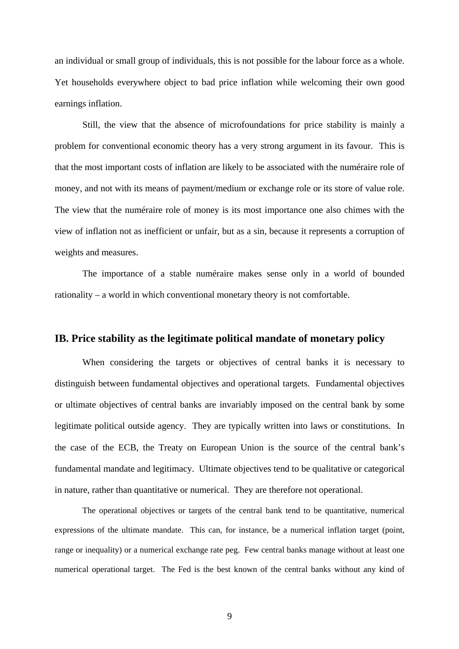an individual or small group of individuals, this is not possible for the labour force as a whole. Yet households everywhere object to bad price inflation while welcoming their own good earnings inflation.

 Still, the view that the absence of microfoundations for price stability is mainly a problem for conventional economic theory has a very strong argument in its favour. This is that the most important costs of inflation are likely to be associated with the numéraire role of money, and not with its means of payment/medium or exchange role or its store of value role. The view that the numéraire role of money is its most importance one also chimes with the view of inflation not as inefficient or unfair, but as a sin, because it represents a corruption of weights and measures.

 The importance of a stable numéraire makes sense only in a world of bounded rationality – a world in which conventional monetary theory is not comfortable.

### **IB. Price stability as the legitimate political mandate of monetary policy**

When considering the targets or objectives of central banks it is necessary to distinguish between fundamental objectives and operational targets. Fundamental objectives or ultimate objectives of central banks are invariably imposed on the central bank by some legitimate political outside agency. They are typically written into laws or constitutions. In the case of the ECB, the Treaty on European Union is the source of the central bank's fundamental mandate and legitimacy. Ultimate objectives tend to be qualitative or categorical in nature, rather than quantitative or numerical. They are therefore not operational.

The operational objectives or targets of the central bank tend to be quantitative, numerical expressions of the ultimate mandate. This can, for instance, be a numerical inflation target (point, range or inequality) or a numerical exchange rate peg. Few central banks manage without at least one numerical operational target. The Fed is the best known of the central banks without any kind of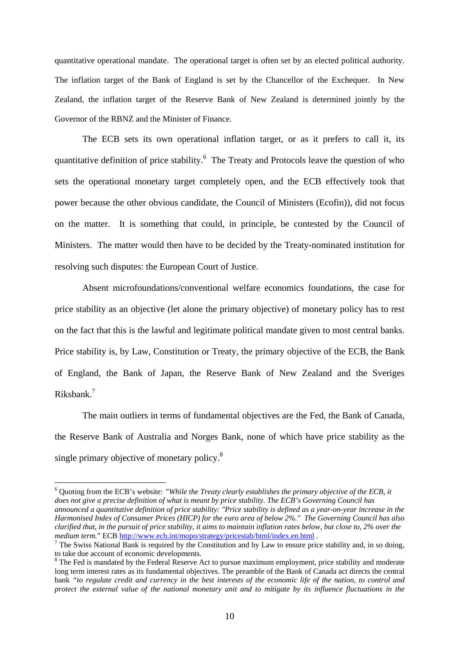quantitative operational mandate. The operational target is often set by an elected political authority. The inflation target of the Bank of England is set by the Chancellor of the Exchequer. In New Zealand, the inflation target of the Reserve Bank of New Zealand is determined jointly by the Governor of the RBNZ and the Minister of Finance.

The ECB sets its own operational inflation target, or as it prefers to call it, its quantitative definition of price stability.<sup>6</sup> The Treaty and Protocols leave the question of who sets the operational monetary target completely open, and the ECB effectively took that power because the other obvious candidate, the Council of Ministers (Ecofin)), did not focus on the matter. It is something that could, in principle, be contested by the Council of Ministers. The matter would then have to be decided by the Treaty-nominated institution for resolving such disputes: the European Court of Justice.

Absent microfoundations/conventional welfare economics foundations, the case for price stability as an objective (let alone the primary objective) of monetary policy has to rest on the fact that this is the lawful and legitimate political mandate given to most central banks. Price stability is, by Law, Constitution or Treaty, the primary objective of the ECB, the Bank of England, the Bank of Japan, the Reserve Bank of New Zealand and the Sveriges Riksbank.<sup>7</sup>

The main outliers in terms of fundamental objectives are the Fed, the Bank of Canada, the Reserve Bank of Australia and Norges Bank, none of which have price stability as the single primary objective of monetary policy.<sup>8</sup>

6 Quoting from the ECB's website: *"While the Treaty clearly establishes the primary objective of the ECB, it does not give a precise definition of what is meant by price stability. The ECB's Governing Council has announced a quantitative definition of price stability: "Price stability is defined as a year-on-year increase in the Harmonised Index of Consumer Prices (HICP) for the euro area of below 2%." The Governing Council has also clarified that, in the pursuit of price stability, it aims to maintain inflation rates below, but close to, 2% over the medium term.*" ECB http://www.ecb.int/mopo/strategy/pricestab/html/index.en.html .

 $\overline{a}$ 

 $^7$  The Swiss National Bank is required by the Constitution and by Law to ensure price stability and, in so doing, to take due account of economic developments.

<sup>&</sup>lt;sup>8</sup> The Fed is mandated by the Federal Reserve Act to pursue maximum employment, price stability and moderate long term interest rates as its fundamental objectives. The preamble of the Bank of Canada act directs the central bank *"to regulate credit and currency in the best interests of the economic life of the nation, to control and protect the external value of the national monetary unit and to mitigate by its influence fluctuations in the*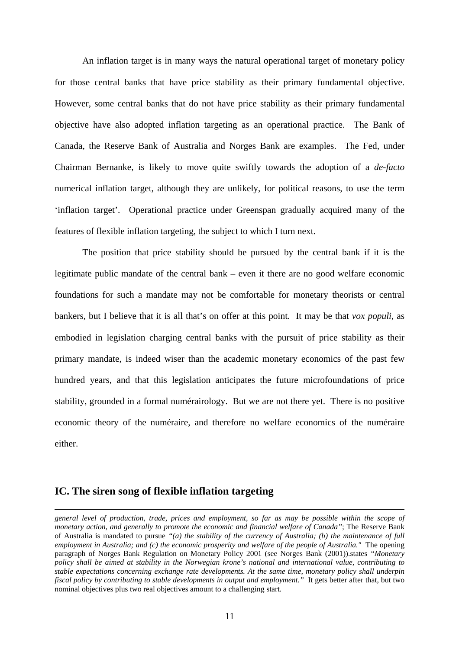An inflation target is in many ways the natural operational target of monetary policy for those central banks that have price stability as their primary fundamental objective. However, some central banks that do not have price stability as their primary fundamental objective have also adopted inflation targeting as an operational practice. The Bank of Canada, the Reserve Bank of Australia and Norges Bank are examples. The Fed, under Chairman Bernanke, is likely to move quite swiftly towards the adoption of a *de-facto* numerical inflation target, although they are unlikely, for political reasons, to use the term 'inflation target'. Operational practice under Greenspan gradually acquired many of the features of flexible inflation targeting, the subject to which I turn next.

 The position that price stability should be pursued by the central bank if it is the legitimate public mandate of the central bank – even it there are no good welfare economic foundations for such a mandate may not be comfortable for monetary theorists or central bankers, but I believe that it is all that's on offer at this point. It may be that *vox populi*, as embodied in legislation charging central banks with the pursuit of price stability as their primary mandate, is indeed wiser than the academic monetary economics of the past few hundred years, and that this legislation anticipates the future microfoundations of price stability, grounded in a formal numérairology. But we are not there yet. There is no positive economic theory of the numéraire, and therefore no welfare economics of the numéraire either.

### **IC. The siren song of flexible inflation targeting**

 $\overline{a}$ 

*general level of production, trade, prices and employment, so far as may be possible within the scope of monetary action, and generally to promote the economic and financial welfare of Canada"*; The Reserve Bank of Australia is mandated to pursue *"(a) the stability of the currency of Australia; (b) the maintenance of full employment in Australia; and (c) the economic prosperity and welfare of the people of Australia."* The opening paragraph of Norges Bank Regulation on Monetary Policy 2001 (see Norges Bank (2001)).states *"Monetary policy shall be aimed at stability in the Norwegian krone's national and international value, contributing to stable expectations concerning exchange rate developments. At the same time, monetary policy shall underpin fiscal policy by contributing to stable developments in output and employment."* It gets better after that, but two nominal objectives plus two real objectives amount to a challenging start.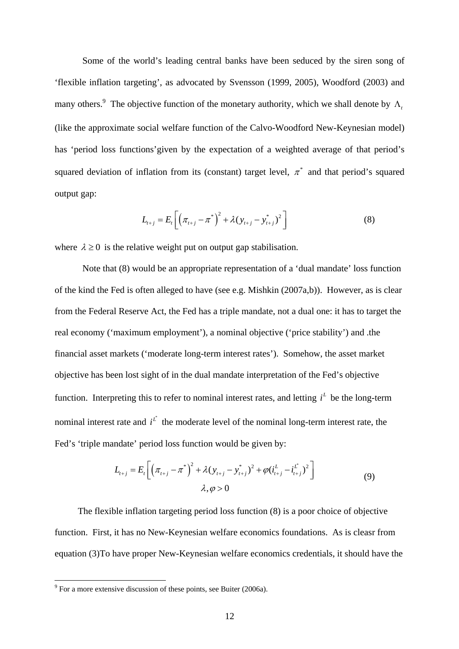Some of the world's leading central banks have been seduced by the siren song of 'flexible inflation targeting', as advocated by Svensson (1999, 2005), Woodford (2003) and many others.<sup>9</sup> The objective function of the monetary authority, which we shall denote by  $\Lambda_t$ (like the approximate social welfare function of the Calvo-Woodford New-Keynesian model) has 'period loss functions'given by the expectation of a weighted average of that period's squared deviation of inflation from its (constant) target level,  $\pi^*$  and that period's squared output gap:

$$
L_{t+j} = E_t \left[ \left( \pi_{t+j} - \pi^* \right)^2 + \lambda (y_{t+j} - y_{t+j}^*)^2 \right]
$$
 (8)

where  $\lambda \geq 0$  is the relative weight put on output gap stabilisation.

Note that (8) would be an appropriate representation of a 'dual mandate' loss function of the kind the Fed is often alleged to have (see e.g. Mishkin (2007a,b)). However, as is clear from the Federal Reserve Act, the Fed has a triple mandate, not a dual one: it has to target the real economy ('maximum employment'), a nominal objective ('price stability') and .the financial asset markets ('moderate long-term interest rates'). Somehow, the asset market objective has been lost sight of in the dual mandate interpretation of the Fed's objective function. Interpreting this to refer to nominal interest rates, and letting  $i<sup>L</sup>$  be the long-term nominal interest rate and  $i^{\ell}$  the moderate level of the nominal long-term interest rate, the Fed's 'triple mandate' period loss function would be given by:

$$
L_{t+j} = E_t \left[ \left( \pi_{t+j} - \pi^* \right)^2 + \lambda (y_{t+j} - y_{t+j}^*)^2 + \varphi (i_{t+j}^L - i_{t+j}^L)^2 \right] \tag{9}
$$
  

$$
\lambda, \varphi > 0
$$

 The flexible inflation targeting period loss function (8) is a poor choice of objective function. First, it has no New-Keynesian welfare economics foundations. As is cleasr from equation (3)To have proper New-Keynesian welfare economics credentials, it should have the

<sup>&</sup>lt;sup>9</sup> For a more extensive discussion of these points, see Buiter (2006a).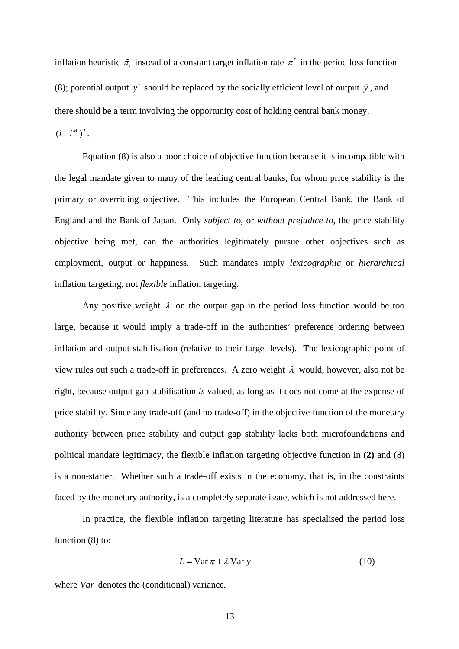inflation heuristic  $\tilde{\pi}$ , instead of a constant target inflation rate  $\pi^*$  in the period loss function (8); potential output  $y^*$  should be replaced by the socially efficient level of output  $\hat{y}$ , and there should be a term involving the opportunity cost of holding central bank money,  $(i - i^M)^2$ .

Equation (8) is also a poor choice of objective function because it is incompatible with the legal mandate given to many of the leading central banks, for whom price stability is the primary or overriding objective. This includes the European Central Bank, the Bank of England and the Bank of Japan. Only *subject to*, or *without prejudice to*, the price stability objective being met, can the authorities legitimately pursue other objectives such as employment, output or happiness. Such mandates imply *lexicographic* or *hierarchical* inflation targeting, not *flexible* inflation targeting.

Any positive weight  $\lambda$  on the output gap in the period loss function would be too large, because it would imply a trade-off in the authorities' preference ordering between inflation and output stabilisation (relative to their target levels). The lexicographic point of view rules out such a trade-off in preferences. A zero weight  $\lambda$  would, however, also not be right, because output gap stabilisation *is* valued, as long as it does not come at the expense of price stability. Since any trade-off (and no trade-off) in the objective function of the monetary authority between price stability and output gap stability lacks both microfoundations and political mandate legitimacy, the flexible inflation targeting objective function in **(2)** and (8) is a non-starter. Whether such a trade-off exists in the economy, that is, in the constraints faced by the monetary authority, is a completely separate issue, which is not addressed here.

 In practice, the flexible inflation targeting literature has specialised the period loss function  $(8)$  to:

$$
L = \text{Var}\,\pi + \lambda \,\text{Var}\,y\tag{10}
$$

where *Var* denotes the (conditional) variance*.*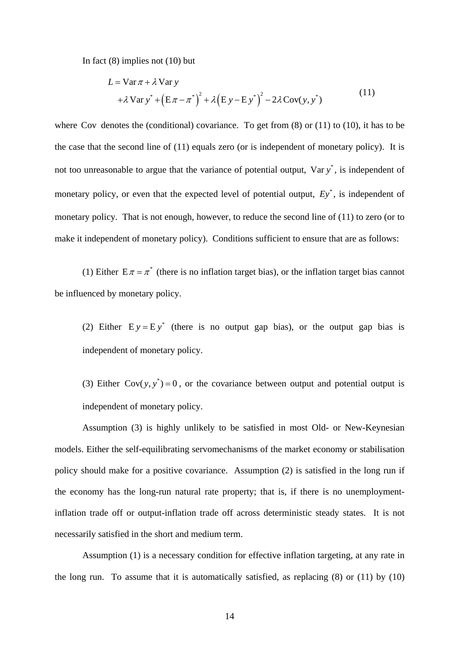In fact (8) implies not (10) but

$$
L = \text{Var}\,\pi + \lambda \,\text{Var}\,y
$$
  
+  $\lambda \,\text{Var}\,y^* + (\text{E}\,\pi - \pi^*)^2 + \lambda(\text{E}\,y - \text{E}\,y^*)^2 - 2\lambda\,\text{Cov}(y, y^*)$  (11)

where Cov denotes the (conditional) covariance. To get from  $(8)$  or  $(11)$  to  $(10)$ , it has to be the case that the second line of (11) equals zero (or is independent of monetary policy). It is not too unreasonable to argue that the variance of potential output,  $Var y^*$ , is independent of monetary policy, or even that the expected level of potential output,  $E_y^*$ , is independent of monetary policy. That is not enough, however, to reduce the second line of (11) to zero (or to make it independent of monetary policy). Conditions sufficient to ensure that are as follows:

(1) Either  $E \pi = \pi^*$  (there is no inflation target bias), or the inflation target bias cannot be influenced by monetary policy.

(2) Either  $E y = E y^*$  (there is no output gap bias), or the output gap bias is independent of monetary policy.

(3) Either  $Cov(y, y^*) = 0$ , or the covariance between output and potential output is independent of monetary policy.

Assumption (3) is highly unlikely to be satisfied in most Old- or New-Keynesian models. Either the self-equilibrating servomechanisms of the market economy or stabilisation policy should make for a positive covariance. Assumption (2) is satisfied in the long run if the economy has the long-run natural rate property; that is, if there is no unemploymentinflation trade off or output-inflation trade off across deterministic steady states. It is not necessarily satisfied in the short and medium term.

 Assumption (1) is a necessary condition for effective inflation targeting, at any rate in the long run. To assume that it is automatically satisfied, as replacing (8) or (11) by (10)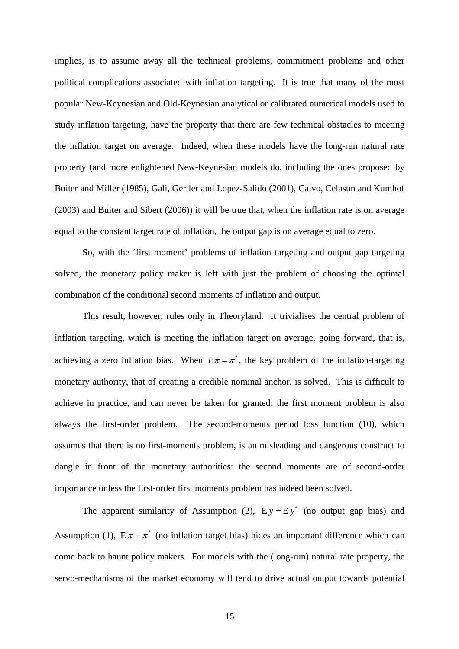implies, is to assume away all the technical problems, commitment problems and other political complications associated with inflation targeting. It is true that many of the most popular New-Keynesian and Old-Keynesian analytical or calibrated numerical models used to study inflation targeting, have the property that there are few technical obstacles to meeting the inflation target on average. Indeed, when these models have the long-run natural rate property (and more enlightened New-Keynesian models do, including the ones proposed by Buiter and Miller (1985), Gali, Gertler and Lopez-Salido (2001), Calvo, Celasun and Kumhof (2003) and Buiter and Sibert (2006)) it will be true that, when the inflation rate is on average equal to the constant target rate of inflation, the output gap is on average equal to zero.

So, with the 'first moment' problems of inflation targeting and output gap targeting solved, the monetary policy maker is left with just the problem of choosing the optimal combination of the conditional second moments of inflation and output.

 This result, however, rules only in Theoryland. It trivialises the central problem of inflation targeting, which is meeting the inflation target on average, going forward, that is, achieving a zero inflation bias. When  $E\pi = \pi^*$ , the key problem of the inflation-targeting monetary authority, that of creating a credible nominal anchor, is solved. This is difficult to achieve in practice, and can never be taken for granted: the first moment problem is also always the first-order problem. The second-moments period loss function (10), which assumes that there is no first-moments problem, is an misleading and dangerous construct to dangle in front of the monetary authorities: the second moments are of second-order importance unless the first-order first moments problem has indeed been solved.

The apparent similarity of Assumption (2),  $E y = E y^*$  (no output gap bias) and Assumption (1),  $E \pi = \pi^*$  (no inflation target bias) hides an important difference which can come back to haunt policy makers. For models with the (long-run) natural rate property, the servo-mechanisms of the market economy will tend to drive actual output towards potential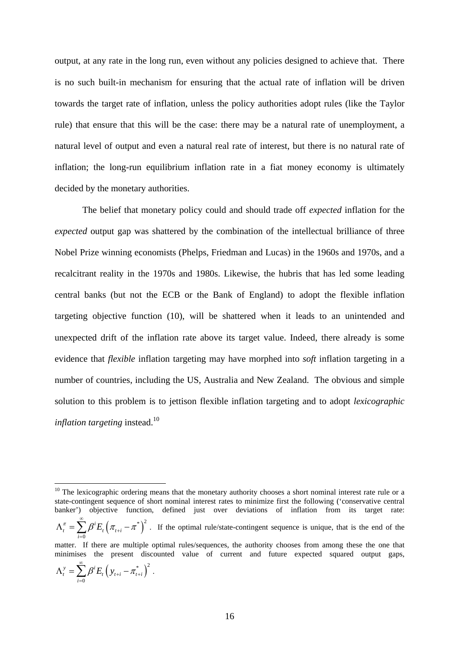output, at any rate in the long run, even without any policies designed to achieve that. There is no such built-in mechanism for ensuring that the actual rate of inflation will be driven towards the target rate of inflation, unless the policy authorities adopt rules (like the Taylor rule) that ensure that this will be the case: there may be a natural rate of unemployment, a natural level of output and even a natural real rate of interest, but there is no natural rate of inflation; the long-run equilibrium inflation rate in a fiat money economy is ultimately decided by the monetary authorities.

 The belief that monetary policy could and should trade off *expected* inflation for the *expected* output gap was shattered by the combination of the intellectual brilliance of three Nobel Prize winning economists (Phelps, Friedman and Lucas) in the 1960s and 1970s, and a recalcitrant reality in the 1970s and 1980s. Likewise, the hubris that has led some leading central banks (but not the ECB or the Bank of England) to adopt the flexible inflation targeting objective function (10), will be shattered when it leads to an unintended and unexpected drift of the inflation rate above its target value. Indeed, there already is some evidence that *flexible* inflation targeting may have morphed into *soft* inflation targeting in a number of countries, including the US, Australia and New Zealand. The obvious and simple solution to this problem is to jettison flexible inflation targeting and to adopt *lexicographic inflation targeting* instead.<sup>10</sup>

$$
\Lambda_t^y = \sum_{i=0}^{\infty} \beta^i E_t \left( y_{t+i} - \pi_{t+i}^* \right)^2.
$$

 $\overline{a}$ 

 $10$  The lexicographic ordering means that the monetary authority chooses a short nominal interest rate rule or a state-contingent sequence of short nominal interest rates to minimize first the following ('conservative central banker') objective function, defined just over deviations of inflation from its target rate:  $^{i}E_{_{t}}\left( \pi_{_{t+i}}-\pi^{^{*}}\right) ^{2}$ 0  $\frac{\pi}{t} = \sum \beta^i E_{_t} \bigl( \pi_{_{t+i}} - \pi^t$ *i* ∞  $\Lambda_t^{\pi} = \sum \beta^i E_i (\pi_{t+i} - \pi^*)^2$ . If the optimal rule/state-contingent sequence is unique, that is the end of the = matter. If there are multiple optimal rules/sequences, the authority chooses from among these the one that minimises the present discounted value of current and future expected squared output gaps,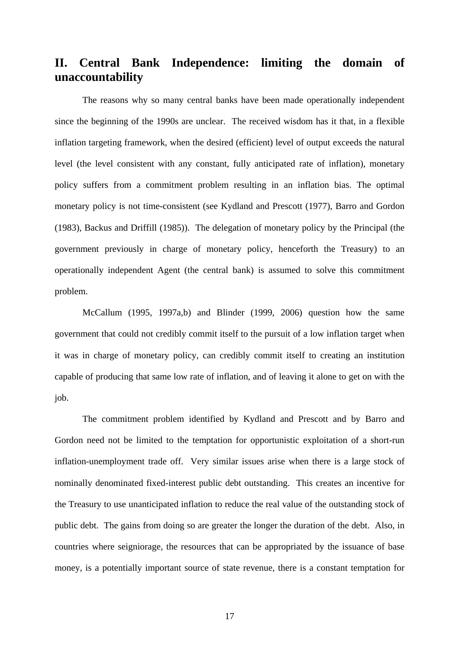# **II. Central Bank Independence: limiting the domain of unaccountability**

The reasons why so many central banks have been made operationally independent since the beginning of the 1990s are unclear. The received wisdom has it that, in a flexible inflation targeting framework, when the desired (efficient) level of output exceeds the natural level (the level consistent with any constant, fully anticipated rate of inflation), monetary policy suffers from a commitment problem resulting in an inflation bias. The optimal monetary policy is not time-consistent (see Kydland and Prescott (1977), Barro and Gordon (1983), Backus and Driffill (1985)). The delegation of monetary policy by the Principal (the government previously in charge of monetary policy, henceforth the Treasury) to an operationally independent Agent (the central bank) is assumed to solve this commitment problem.

McCallum (1995, 1997a,b) and Blinder (1999, 2006) question how the same government that could not credibly commit itself to the pursuit of a low inflation target when it was in charge of monetary policy, can credibly commit itself to creating an institution capable of producing that same low rate of inflation, and of leaving it alone to get on with the job.

The commitment problem identified by Kydland and Prescott and by Barro and Gordon need not be limited to the temptation for opportunistic exploitation of a short-run inflation-unemployment trade off. Very similar issues arise when there is a large stock of nominally denominated fixed-interest public debt outstanding. This creates an incentive for the Treasury to use unanticipated inflation to reduce the real value of the outstanding stock of public debt. The gains from doing so are greater the longer the duration of the debt. Also, in countries where seigniorage, the resources that can be appropriated by the issuance of base money, is a potentially important source of state revenue, there is a constant temptation for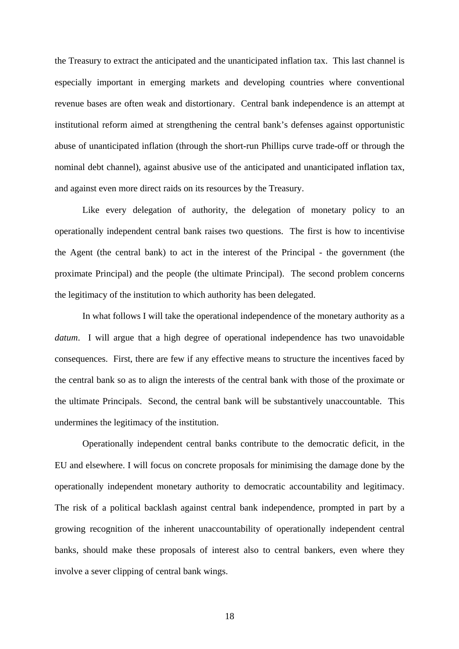the Treasury to extract the anticipated and the unanticipated inflation tax. This last channel is especially important in emerging markets and developing countries where conventional revenue bases are often weak and distortionary. Central bank independence is an attempt at institutional reform aimed at strengthening the central bank's defenses against opportunistic abuse of unanticipated inflation (through the short-run Phillips curve trade-off or through the nominal debt channel), against abusive use of the anticipated and unanticipated inflation tax, and against even more direct raids on its resources by the Treasury.

Like every delegation of authority, the delegation of monetary policy to an operationally independent central bank raises two questions. The first is how to incentivise the Agent (the central bank) to act in the interest of the Principal - the government (the proximate Principal) and the people (the ultimate Principal). The second problem concerns the legitimacy of the institution to which authority has been delegated.

In what follows I will take the operational independence of the monetary authority as a *datum*. I will argue that a high degree of operational independence has two unavoidable consequences. First, there are few if any effective means to structure the incentives faced by the central bank so as to align the interests of the central bank with those of the proximate or the ultimate Principals. Second, the central bank will be substantively unaccountable. This undermines the legitimacy of the institution.

Operationally independent central banks contribute to the democratic deficit, in the EU and elsewhere. I will focus on concrete proposals for minimising the damage done by the operationally independent monetary authority to democratic accountability and legitimacy. The risk of a political backlash against central bank independence, prompted in part by a growing recognition of the inherent unaccountability of operationally independent central banks, should make these proposals of interest also to central bankers, even where they involve a sever clipping of central bank wings.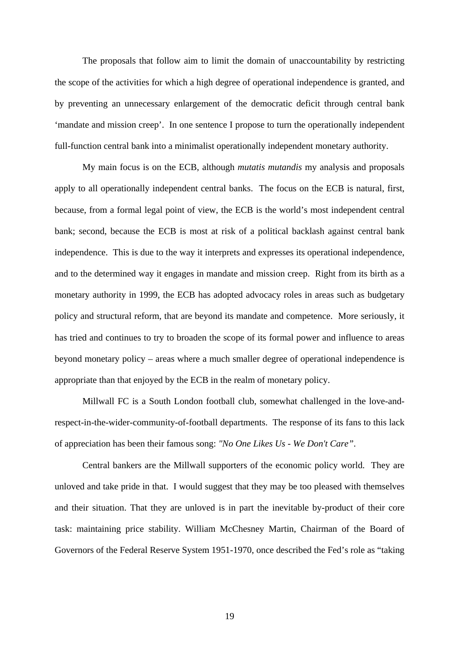The proposals that follow aim to limit the domain of unaccountability by restricting the scope of the activities for which a high degree of operational independence is granted, and by preventing an unnecessary enlargement of the democratic deficit through central bank 'mandate and mission creep'. In one sentence I propose to turn the operationally independent full-function central bank into a minimalist operationally independent monetary authority.

My main focus is on the ECB, although *mutatis mutandis* my analysis and proposals apply to all operationally independent central banks. The focus on the ECB is natural, first, because, from a formal legal point of view, the ECB is the world's most independent central bank; second, because the ECB is most at risk of a political backlash against central bank independence. This is due to the way it interprets and expresses its operational independence, and to the determined way it engages in mandate and mission creep. Right from its birth as a monetary authority in 1999, the ECB has adopted advocacy roles in areas such as budgetary policy and structural reform, that are beyond its mandate and competence. More seriously, it has tried and continues to try to broaden the scope of its formal power and influence to areas beyond monetary policy – areas where a much smaller degree of operational independence is appropriate than that enjoyed by the ECB in the realm of monetary policy.

Millwall FC is a South London football club, somewhat challenged in the love-andrespect-in-the-wider-community-of-football departments. The response of its fans to this lack of appreciation has been their famous song: *"No One Likes Us - We Don't Care"*.

Central bankers are the Millwall supporters of the economic policy world. They are unloved and take pride in that. I would suggest that they may be too pleased with themselves and their situation. That they are unloved is in part the inevitable by-product of their core task: maintaining price stability. William McChesney Martin, Chairman of the Board of Governors of the Federal Reserve System 1951-1970, once described the Fed's role as "taking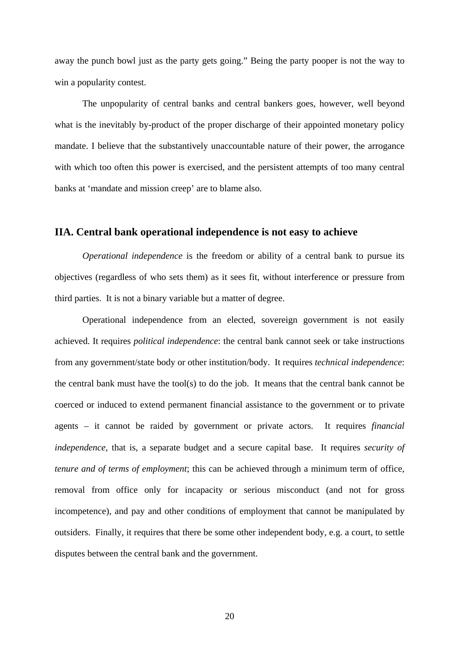away the punch bowl just as the party gets going." Being the party pooper is not the way to win a popularity contest.

The unpopularity of central banks and central bankers goes, however, well beyond what is the inevitably by-product of the proper discharge of their appointed monetary policy mandate. I believe that the substantively unaccountable nature of their power, the arrogance with which too often this power is exercised, and the persistent attempts of too many central banks at 'mandate and mission creep' are to blame also.

### **IIA. Central bank operational independence is not easy to achieve**

*Operational independence* is the freedom or ability of a central bank to pursue its objectives (regardless of who sets them) as it sees fit, without interference or pressure from third parties. It is not a binary variable but a matter of degree.

Operational independence from an elected, sovereign government is not easily achieved. It requires *political independence*: the central bank cannot seek or take instructions from any government/state body or other institution/body. It requires *technical independence*: the central bank must have the tool(s) to do the job. It means that the central bank cannot be coerced or induced to extend permanent financial assistance to the government or to private agents – it cannot be raided by government or private actors. It requires *financial independence*, that is, a separate budget and a secure capital base. It requires *security of tenure and of terms of employment*; this can be achieved through a minimum term of office, removal from office only for incapacity or serious misconduct (and not for gross incompetence), and pay and other conditions of employment that cannot be manipulated by outsiders. Finally, it requires that there be some other independent body, e.g. a court, to settle disputes between the central bank and the government.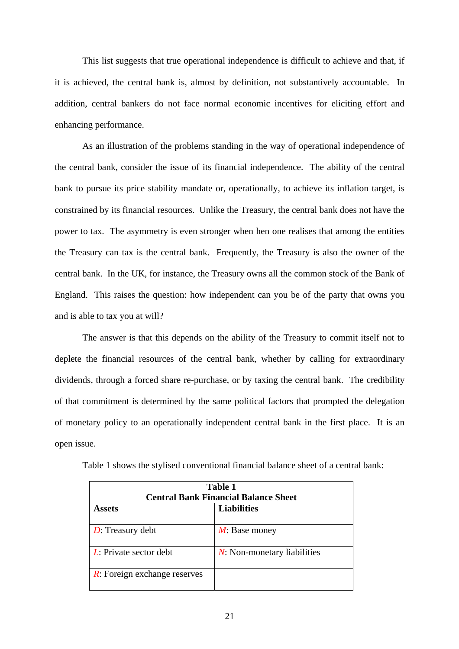This list suggests that true operational independence is difficult to achieve and that, if it is achieved, the central bank is, almost by definition, not substantively accountable. In addition, central bankers do not face normal economic incentives for eliciting effort and enhancing performance.

As an illustration of the problems standing in the way of operational independence of the central bank, consider the issue of its financial independence. The ability of the central bank to pursue its price stability mandate or, operationally, to achieve its inflation target, is constrained by its financial resources. Unlike the Treasury, the central bank does not have the power to tax. The asymmetry is even stronger when hen one realises that among the entities the Treasury can tax is the central bank. Frequently, the Treasury is also the owner of the central bank. In the UK, for instance, the Treasury owns all the common stock of the Bank of England. This raises the question: how independent can you be of the party that owns you and is able to tax you at will?

 The answer is that this depends on the ability of the Treasury to commit itself not to deplete the financial resources of the central bank, whether by calling for extraordinary dividends, through a forced share re-purchase, or by taxing the central bank. The credibility of that commitment is determined by the same political factors that prompted the delegation of monetary policy to an operationally independent central bank in the first place. It is an open issue.

| Table 1                                     |                                |  |
|---------------------------------------------|--------------------------------|--|
| <b>Central Bank Financial Balance Sheet</b> |                                |  |
| <b>Assets</b>                               | <b>Liabilities</b>             |  |
|                                             |                                |  |
| $D$ : Treasury debt                         | $M$ : Base money               |  |
|                                             |                                |  |
| $L$ : Private sector debt                   | $N$ : Non-monetary liabilities |  |
|                                             |                                |  |
| $\overline{R}$ : Foreign exchange reserves  |                                |  |
|                                             |                                |  |

Table 1 shows the stylised conventional financial balance sheet of a central bank: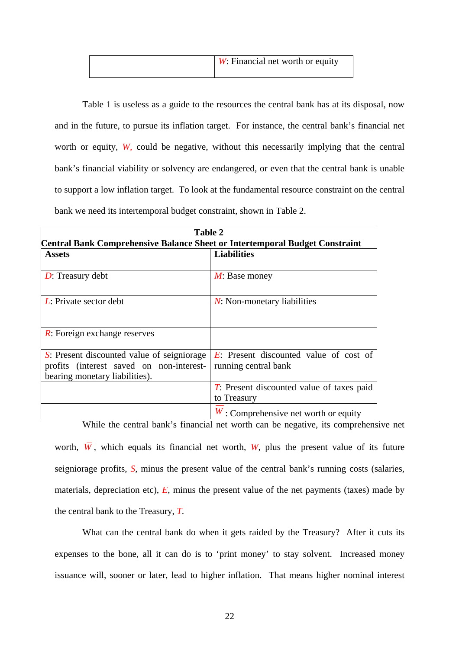| $\mid$ <i>W</i> : Financial net worth or equity |
|-------------------------------------------------|
|                                                 |

Table 1 is useless as a guide to the resources the central bank has at its disposal, now and in the future, to pursue its inflation target. For instance, the central bank's financial net worth or equity, *W*, could be negative, without this necessarily implying that the central bank's financial viability or solvency are endangered, or even that the central bank is unable to support a low inflation target. To look at the fundamental resource constraint on the central bank we need its intertemporal budget constraint, shown in Table 2.

| Table 2<br>Central Bank Comprehensive Balance Sheet or Intertemporal Budget Constraint                                   |                                                                              |  |
|--------------------------------------------------------------------------------------------------------------------------|------------------------------------------------------------------------------|--|
|                                                                                                                          |                                                                              |  |
| $D$ : Treasury debt                                                                                                      | $M$ : Base money                                                             |  |
| $L$ : Private sector debt                                                                                                | $N$ : Non-monetary liabilities                                               |  |
| $\overline{R}$ : Foreign exchange reserves                                                                               |                                                                              |  |
| S: Present discounted value of seigniorage<br>profits (interest saved on non-interest-<br>bearing monetary liabilities). | $\overline{E}$ : Present discounted value of cost of<br>running central bank |  |
|                                                                                                                          | T: Present discounted value of taxes paid<br>to Treasury                     |  |
|                                                                                                                          | $W$ : Comprehensive net worth or equity                                      |  |

While the central bank's financial net worth can be negative, its comprehensive net worth,  $\overline{W}$ , which equals its financial net worth,  $W$ , plus the present value of its future seigniorage profits, *S*, minus the present value of the central bank's running costs (salaries, materials, depreciation etc),  $E$ , minus the present value of the net payments (taxes) made by the central bank to the Treasury, *T.*

What can the central bank do when it gets raided by the Treasury? After it cuts its expenses to the bone, all it can do is to 'print money' to stay solvent. Increased money issuance will, sooner or later, lead to higher inflation. That means higher nominal interest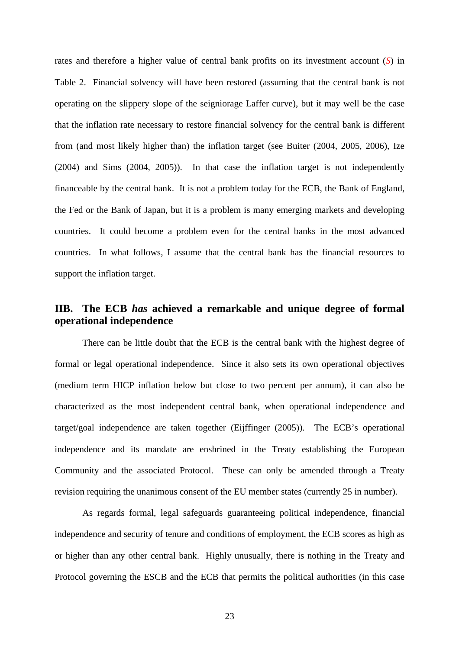rates and therefore a higher value of central bank profits on its investment account (*S*) in Table 2. Financial solvency will have been restored (assuming that the central bank is not operating on the slippery slope of the seigniorage Laffer curve), but it may well be the case that the inflation rate necessary to restore financial solvency for the central bank is different from (and most likely higher than) the inflation target (see Buiter (2004, 2005, 2006), Ize (2004) and Sims (2004, 2005)). In that case the inflation target is not independently financeable by the central bank. It is not a problem today for the ECB, the Bank of England, the Fed or the Bank of Japan, but it is a problem is many emerging markets and developing countries. It could become a problem even for the central banks in the most advanced countries. In what follows, I assume that the central bank has the financial resources to support the inflation target.

# **IIB. The ECB** *has* **achieved a remarkable and unique degree of formal operational independence**

There can be little doubt that the ECB is the central bank with the highest degree of formal or legal operational independence. Since it also sets its own operational objectives (medium term HICP inflation below but close to two percent per annum), it can also be characterized as the most independent central bank, when operational independence and target/goal independence are taken together (Eijffinger (2005)). The ECB's operational independence and its mandate are enshrined in the Treaty establishing the European Community and the associated Protocol. These can only be amended through a Treaty revision requiring the unanimous consent of the EU member states (currently 25 in number).

As regards formal, legal safeguards guaranteeing political independence, financial independence and security of tenure and conditions of employment, the ECB scores as high as or higher than any other central bank. Highly unusually, there is nothing in the Treaty and Protocol governing the ESCB and the ECB that permits the political authorities (in this case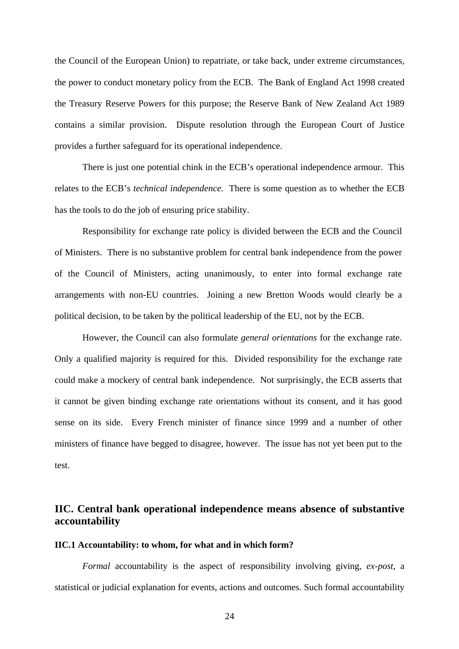the Council of the European Union) to repatriate, or take back, under extreme circumstances, the power to conduct monetary policy from the ECB. The Bank of England Act 1998 created the Treasury Reserve Powers for this purpose; the Reserve Bank of New Zealand Act 1989 contains a similar provision. Dispute resolution through the European Court of Justice provides a further safeguard for its operational independence.

There is just one potential chink in the ECB's operational independence armour. This relates to the ECB's *technical independence.* There is some question as to whether the ECB has the tools to do the job of ensuring price stability.

Responsibility for exchange rate policy is divided between the ECB and the Council of Ministers. There is no substantive problem for central bank independence from the power of the Council of Ministers, acting unanimously, to enter into formal exchange rate arrangements with non-EU countries. Joining a new Bretton Woods would clearly be a political decision, to be taken by the political leadership of the EU, not by the ECB.

However, the Council can also formulate *general orientations* for the exchange rate. Only a qualified majority is required for this. Divided responsibility for the exchange rate could make a mockery of central bank independence. Not surprisingly, the ECB asserts that it cannot be given binding exchange rate orientations without its consent, and it has good sense on its side. Every French minister of finance since 1999 and a number of other ministers of finance have begged to disagree, however. The issue has not yet been put to the test.

# **IIC. Central bank operational independence means absence of substantive accountability**

#### **IIC.1 Accountability: to whom, for what and in which form?**

*Formal* accountability is the aspect of responsibility involving giving, *ex-post*, a statistical or judicial explanation for events, actions and outcomes. Such formal accountability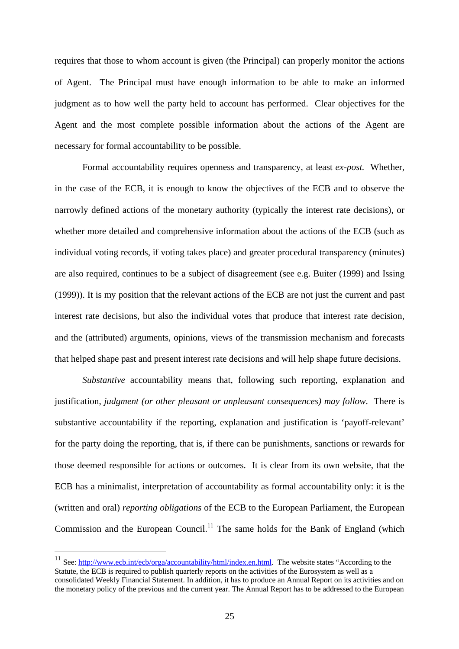requires that those to whom account is given (the Principal) can properly monitor the actions of Agent. The Principal must have enough information to be able to make an informed judgment as to how well the party held to account has performed. Clear objectives for the Agent and the most complete possible information about the actions of the Agent are necessary for formal accountability to be possible.

Formal accountability requires openness and transparency, at least *ex-post.* Whether, in the case of the ECB, it is enough to know the objectives of the ECB and to observe the narrowly defined actions of the monetary authority (typically the interest rate decisions), or whether more detailed and comprehensive information about the actions of the ECB (such as individual voting records, if voting takes place) and greater procedural transparency (minutes) are also required, continues to be a subject of disagreement (see e.g. Buiter (1999) and Issing (1999)). It is my position that the relevant actions of the ECB are not just the current and past interest rate decisions, but also the individual votes that produce that interest rate decision, and the (attributed) arguments, opinions, views of the transmission mechanism and forecasts that helped shape past and present interest rate decisions and will help shape future decisions.

*Substantive* accountability means that, following such reporting, explanation and justification, *judgment (or other pleasant or unpleasant consequences) may follow*. There is substantive accountability if the reporting, explanation and justification is 'payoff-relevant' for the party doing the reporting, that is, if there can be punishments, sanctions or rewards for those deemed responsible for actions or outcomes. It is clear from its own website, that the ECB has a minimalist, interpretation of accountability as formal accountability only: it is the (written and oral) *reporting obligations* of the ECB to the European Parliament, the European Commission and the European Council.<sup>11</sup> The same holds for the Bank of England (which

 $\overline{a}$ 

<sup>&</sup>lt;sup>11</sup> See: http://www.ecb.int/ecb/orga/accountability/html/index.en.html. The website states "According to the Statute, the ECB is required to publish quarterly reports on the activities of the Eurosystem as well as a consolidated Weekly Financial Statement. In addition, it has to produce an Annual Report on its activities and on the monetary policy of the previous and the current year. The Annual Report has to be addressed to the European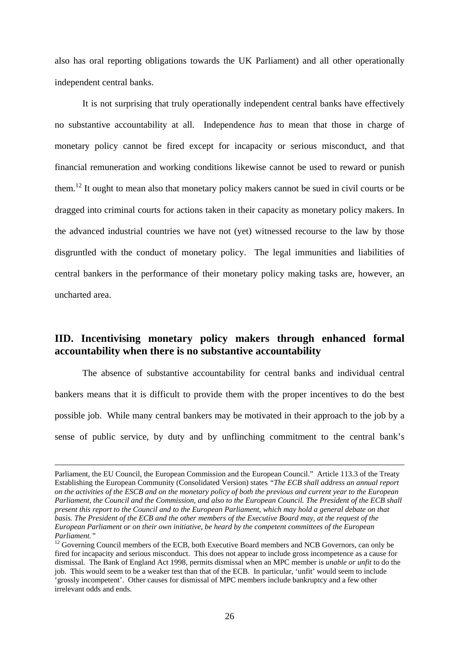also has oral reporting obligations towards the UK Parliament) and all other operationally independent central banks.

 It is not surprising that truly operationally independent central banks have effectively no substantive accountability at all. Independence *has* to mean that those in charge of monetary policy cannot be fired except for incapacity or serious misconduct, and that financial remuneration and working conditions likewise cannot be used to reward or punish them.12 It ought to mean also that monetary policy makers cannot be sued in civil courts or be dragged into criminal courts for actions taken in their capacity as monetary policy makers. In the advanced industrial countries we have not (yet) witnessed recourse to the law by those disgruntled with the conduct of monetary policy. The legal immunities and liabilities of central bankers in the performance of their monetary policy making tasks are, however, an uncharted area.

# **IID. Incentivising monetary policy makers through enhanced formal accountability when there is no substantive accountability**

The absence of substantive accountability for central banks and individual central bankers means that it is difficult to provide them with the proper incentives to do the best possible job. While many central bankers may be motivated in their approach to the job by a sense of public service, by duty and by unflinching commitment to the central bank's

Parliament, the EU Council, the European Commission and the European Council." Article 113.3 of the Treaty Establishing the European Community (Consolidated Version) states *"The ECB shall address an annual report on the activities of the ESCB and on the monetary policy of both the previous and current year to the European Parliament, the Council and the Commission, and also to the European Council. The President of the ECB shall present this report to the Council and to the European Parliament, which may hold a general debate on that basis. The President of the ECB and the other members of the Executive Board may, at the request of the European Parliament or on their own initiative, be heard by the competent committees of the European Parliament."* 

<sup>&</sup>lt;sup>12</sup> Governing Council members of the ECB, both Executive Board members and NCB Governors, can only be fired for incapacity and serious misconduct. This does not appear to include gross incompetence as a cause for dismissal. The Bank of England Act 1998, permits dismissal when an MPC member is *unable or unfit* to do the job. This would seem to be a weaker test than that of the ECB. In particular, 'unfit' would seem to include 'grossly incompetent'. Other causes for dismissal of MPC members include bankruptcy and a few other irrelevant odds and ends.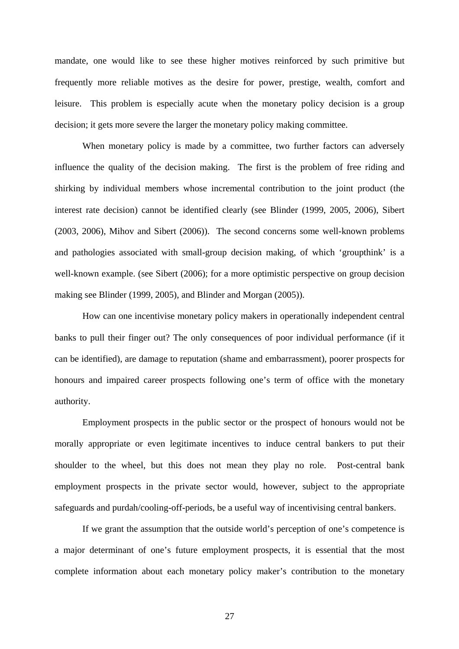mandate, one would like to see these higher motives reinforced by such primitive but frequently more reliable motives as the desire for power, prestige, wealth, comfort and leisure. This problem is especially acute when the monetary policy decision is a group decision; it gets more severe the larger the monetary policy making committee.

When monetary policy is made by a committee, two further factors can adversely influence the quality of the decision making. The first is the problem of free riding and shirking by individual members whose incremental contribution to the joint product (the interest rate decision) cannot be identified clearly (see Blinder (1999, 2005, 2006), Sibert (2003, 2006), Mihov and Sibert (2006)). The second concerns some well-known problems and pathologies associated with small-group decision making, of which 'groupthink' is a well-known example. (see Sibert (2006); for a more optimistic perspective on group decision making see Blinder (1999, 2005), and Blinder and Morgan (2005)).

How can one incentivise monetary policy makers in operationally independent central banks to pull their finger out? The only consequences of poor individual performance (if it can be identified), are damage to reputation (shame and embarrassment), poorer prospects for honours and impaired career prospects following one's term of office with the monetary authority.

Employment prospects in the public sector or the prospect of honours would not be morally appropriate or even legitimate incentives to induce central bankers to put their shoulder to the wheel, but this does not mean they play no role. Post-central bank employment prospects in the private sector would, however, subject to the appropriate safeguards and purdah/cooling-off-periods, be a useful way of incentivising central bankers.

If we grant the assumption that the outside world's perception of one's competence is a major determinant of one's future employment prospects, it is essential that the most complete information about each monetary policy maker's contribution to the monetary

27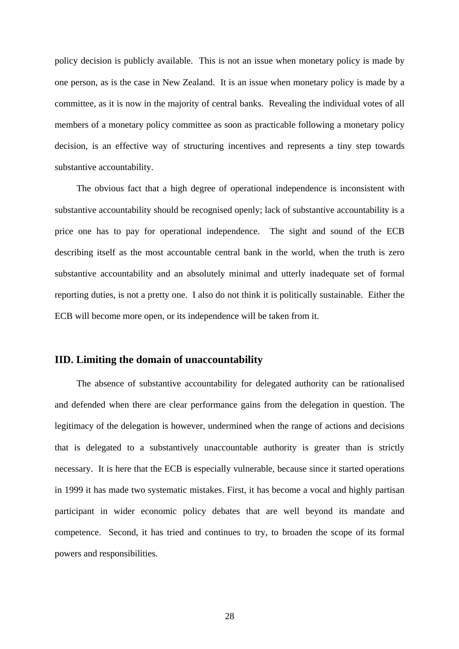policy decision is publicly available. This is not an issue when monetary policy is made by one person, as is the case in New Zealand. It is an issue when monetary policy is made by a committee, as it is now in the majority of central banks. Revealing the individual votes of all members of a monetary policy committee as soon as practicable following a monetary policy decision, is an effective way of structuring incentives and represents a tiny step towards substantive accountability.

 The obvious fact that a high degree of operational independence is inconsistent with substantive accountability should be recognised openly; lack of substantive accountability is a price one has to pay for operational independence. The sight and sound of the ECB describing itself as the most accountable central bank in the world, when the truth is zero substantive accountability and an absolutely minimal and utterly inadequate set of formal reporting duties, is not a pretty one. I also do not think it is politically sustainable. Either the ECB will become more open, or its independence will be taken from it.

### **IID. Limiting the domain of unaccountability**

The absence of substantive accountability for delegated authority can be rationalised and defended when there are clear performance gains from the delegation in question. The legitimacy of the delegation is however, undermined when the range of actions and decisions that is delegated to a substantively unaccountable authority is greater than is strictly necessary. It is here that the ECB is especially vulnerable, because since it started operations in 1999 it has made two systematic mistakes. First, it has become a vocal and highly partisan participant in wider economic policy debates that are well beyond its mandate and competence. Second, it has tried and continues to try, to broaden the scope of its formal powers and responsibilities.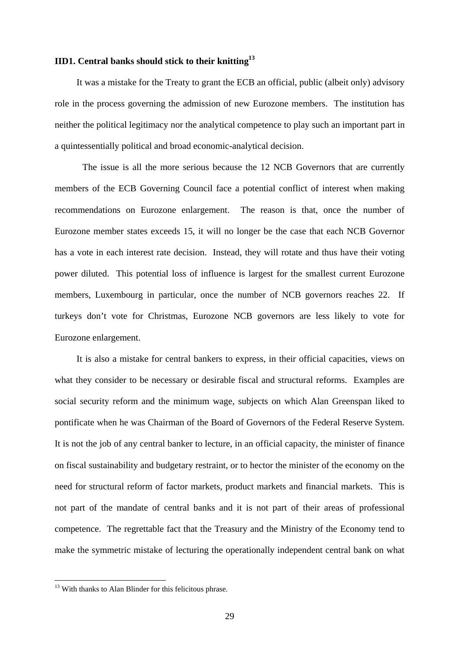### **IID1. Central banks should stick to their knitting13**

 It was a mistake for the Treaty to grant the ECB an official, public (albeit only) advisory role in the process governing the admission of new Eurozone members. The institution has neither the political legitimacy nor the analytical competence to play such an important part in a quintessentially political and broad economic-analytical decision.

 The issue is all the more serious because the 12 NCB Governors that are currently members of the ECB Governing Council face a potential conflict of interest when making recommendations on Eurozone enlargement. The reason is that, once the number of Eurozone member states exceeds 15, it will no longer be the case that each NCB Governor has a vote in each interest rate decision. Instead, they will rotate and thus have their voting power diluted. This potential loss of influence is largest for the smallest current Eurozone members, Luxembourg in particular, once the number of NCB governors reaches 22. If turkeys don't vote for Christmas, Eurozone NCB governors are less likely to vote for Eurozone enlargement.

 It is also a mistake for central bankers to express, in their official capacities, views on what they consider to be necessary or desirable fiscal and structural reforms. Examples are social security reform and the minimum wage, subjects on which Alan Greenspan liked to pontificate when he was Chairman of the Board of Governors of the Federal Reserve System. It is not the job of any central banker to lecture, in an official capacity, the minister of finance on fiscal sustainability and budgetary restraint, or to hector the minister of the economy on the need for structural reform of factor markets, product markets and financial markets. This is not part of the mandate of central banks and it is not part of their areas of professional competence. The regrettable fact that the Treasury and the Ministry of the Economy tend to make the symmetric mistake of lecturing the operationally independent central bank on what

 $\overline{a}$ 

 $13$  With thanks to Alan Blinder for this felicitous phrase.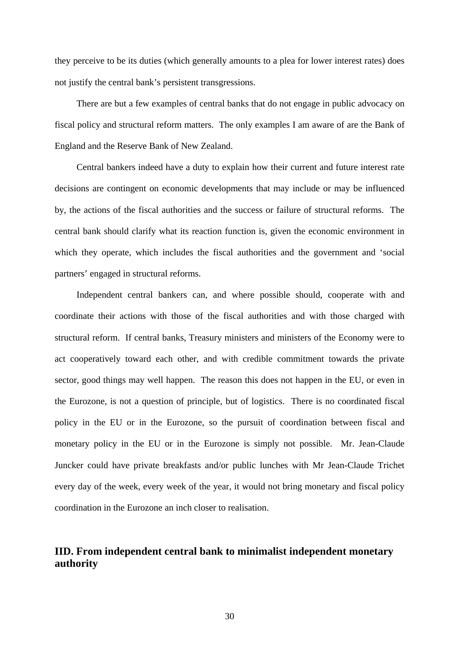they perceive to be its duties (which generally amounts to a plea for lower interest rates) does not justify the central bank's persistent transgressions.

 There are but a few examples of central banks that do not engage in public advocacy on fiscal policy and structural reform matters. The only examples I am aware of are the Bank of England and the Reserve Bank of New Zealand.

 Central bankers indeed have a duty to explain how their current and future interest rate decisions are contingent on economic developments that may include or may be influenced by, the actions of the fiscal authorities and the success or failure of structural reforms. The central bank should clarify what its reaction function is, given the economic environment in which they operate, which includes the fiscal authorities and the government and 'social partners' engaged in structural reforms.

 Independent central bankers can, and where possible should, cooperate with and coordinate their actions with those of the fiscal authorities and with those charged with structural reform. If central banks, Treasury ministers and ministers of the Economy were to act cooperatively toward each other, and with credible commitment towards the private sector, good things may well happen. The reason this does not happen in the EU, or even in the Eurozone, is not a question of principle, but of logistics. There is no coordinated fiscal policy in the EU or in the Eurozone, so the pursuit of coordination between fiscal and monetary policy in the EU or in the Eurozone is simply not possible. Mr. Jean-Claude Juncker could have private breakfasts and/or public lunches with Mr Jean-Claude Trichet every day of the week, every week of the year, it would not bring monetary and fiscal policy coordination in the Eurozone an inch closer to realisation.

# **IID. From independent central bank to minimalist independent monetary authority**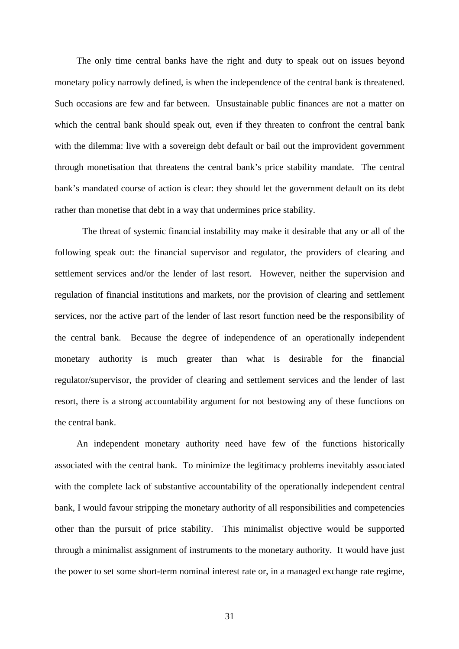The only time central banks have the right and duty to speak out on issues beyond monetary policy narrowly defined, is when the independence of the central bank is threatened. Such occasions are few and far between. Unsustainable public finances are not a matter on which the central bank should speak out, even if they threaten to confront the central bank with the dilemma: live with a sovereign debt default or bail out the improvident government through monetisation that threatens the central bank's price stability mandate. The central bank's mandated course of action is clear: they should let the government default on its debt rather than monetise that debt in a way that undermines price stability.

 The threat of systemic financial instability may make it desirable that any or all of the following speak out: the financial supervisor and regulator, the providers of clearing and settlement services and/or the lender of last resort. However, neither the supervision and regulation of financial institutions and markets, nor the provision of clearing and settlement services, nor the active part of the lender of last resort function need be the responsibility of the central bank. Because the degree of independence of an operationally independent monetary authority is much greater than what is desirable for the financial regulator/supervisor, the provider of clearing and settlement services and the lender of last resort, there is a strong accountability argument for not bestowing any of these functions on the central bank.

 An independent monetary authority need have few of the functions historically associated with the central bank. To minimize the legitimacy problems inevitably associated with the complete lack of substantive accountability of the operationally independent central bank, I would favour stripping the monetary authority of all responsibilities and competencies other than the pursuit of price stability. This minimalist objective would be supported through a minimalist assignment of instruments to the monetary authority. It would have just the power to set some short-term nominal interest rate or, in a managed exchange rate regime,

31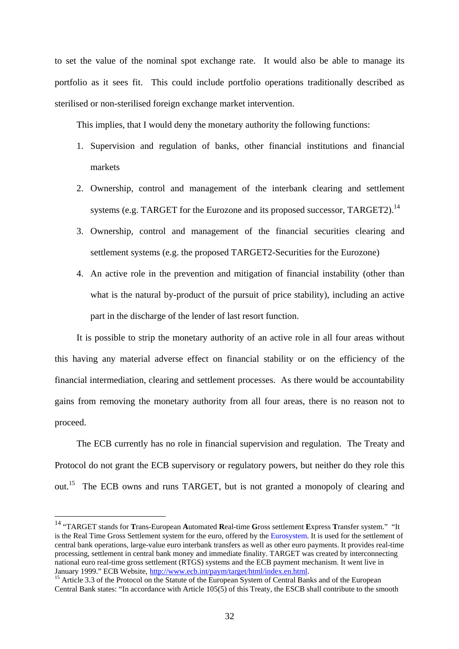to set the value of the nominal spot exchange rate. It would also be able to manage its portfolio as it sees fit. This could include portfolio operations traditionally described as sterilised or non-sterilised foreign exchange market intervention.

This implies, that I would deny the monetary authority the following functions:

- 1. Supervision and regulation of banks, other financial institutions and financial markets
- 2. Ownership, control and management of the interbank clearing and settlement systems (e.g. TARGET for the Eurozone and its proposed successor, TARGET2).<sup>14</sup>
- 3. Ownership, control and management of the financial securities clearing and settlement systems (e.g. the proposed TARGET2-Securities for the Eurozone)
- 4. An active role in the prevention and mitigation of financial instability (other than what is the natural by-product of the pursuit of price stability), including an active part in the discharge of the lender of last resort function.

 It is possible to strip the monetary authority of an active role in all four areas without this having any material adverse effect on financial stability or on the efficiency of the financial intermediation, clearing and settlement processes. As there would be accountability gains from removing the monetary authority from all four areas, there is no reason not to proceed.

 The ECB currently has no role in financial supervision and regulation. The Treaty and Protocol do not grant the ECB supervisory or regulatory powers, but neither do they role this out.<sup>15</sup> The ECB owns and runs TARGET, but is not granted a monopoly of clearing and

<sup>14 &</sup>quot;TARGET stands for **T**rans-European **A**utomated **R**eal-time **G**ross settlement **E**xpress **T**ransfer system." "It is the Real Time Gross Settlement system for the euro, offered by the Eurosystem. It is used for the settlement of central bank operations, large-value euro interbank transfers as well as other euro payments. It provides real-time processing, settlement in central bank money and immediate finality. TARGET was created by interconnecting national euro real-time gross settlement (RTGS) systems and the ECB payment mechanism. It went live in January 1999." ECB Website, http://www.ecb.int/paym/target/html/index.en.html.

<sup>&</sup>lt;sup>15</sup> Article 3.3 of the Protocol on the Statute of the European System of Central Banks and of the European  $\frac{15}{10}$ Central Bank states: "In accordance with Article 105(5) of this Treaty, the ESCB shall contribute to the smooth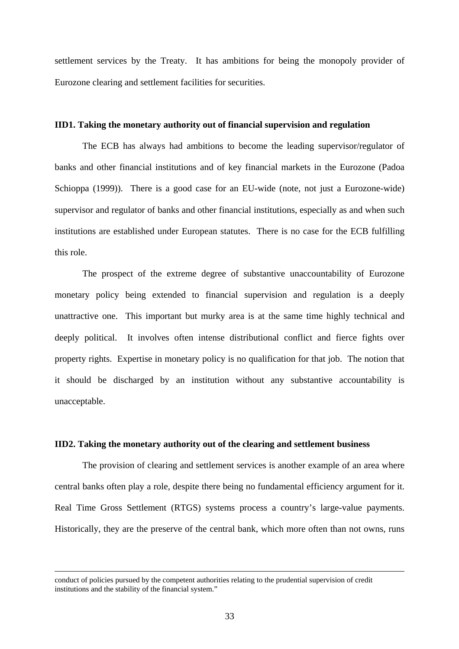settlement services by the Treaty. It has ambitions for being the monopoly provider of Eurozone clearing and settlement facilities for securities.

#### **IID1. Taking the monetary authority out of financial supervision and regulation**

The ECB has always had ambitions to become the leading supervisor/regulator of banks and other financial institutions and of key financial markets in the Eurozone (Padoa Schioppa (1999)). There is a good case for an EU-wide (note, not just a Eurozone-wide) supervisor and regulator of banks and other financial institutions, especially as and when such institutions are established under European statutes. There is no case for the ECB fulfilling this role.

The prospect of the extreme degree of substantive unaccountability of Eurozone monetary policy being extended to financial supervision and regulation is a deeply unattractive one. This important but murky area is at the same time highly technical and deeply political. It involves often intense distributional conflict and fierce fights over property rights. Expertise in monetary policy is no qualification for that job. The notion that it should be discharged by an institution without any substantive accountability is unacceptable.

#### **IID2. Taking the monetary authority out of the clearing and settlement business**

The provision of clearing and settlement services is another example of an area where central banks often play a role, despite there being no fundamental efficiency argument for it. Real Time Gross Settlement (RTGS) systems process a country's large-value payments. Historically, they are the preserve of the central bank, which more often than not owns, runs

conduct of policies pursued by the competent authorities relating to the prudential supervision of credit institutions and the stability of the financial system."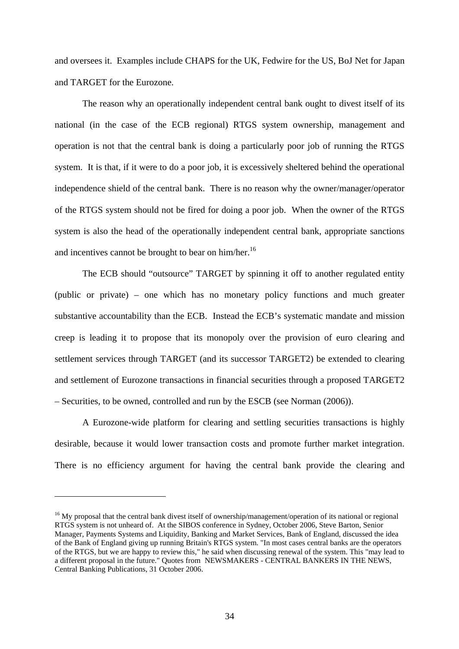and oversees it. Examples include CHAPS for the UK, Fedwire for the US, BoJ Net for Japan and TARGET for the Eurozone.

The reason why an operationally independent central bank ought to divest itself of its national (in the case of the ECB regional) RTGS system ownership, management and operation is not that the central bank is doing a particularly poor job of running the RTGS system. It is that, if it were to do a poor job, it is excessively sheltered behind the operational independence shield of the central bank. There is no reason why the owner/manager/operator of the RTGS system should not be fired for doing a poor job. When the owner of the RTGS system is also the head of the operationally independent central bank, appropriate sanctions and incentives cannot be brought to bear on him/her.<sup>16</sup>

The ECB should "outsource" TARGET by spinning it off to another regulated entity (public or private) – one which has no monetary policy functions and much greater substantive accountability than the ECB. Instead the ECB's systematic mandate and mission creep is leading it to propose that its monopoly over the provision of euro clearing and settlement services through TARGET (and its successor TARGET2) be extended to clearing and settlement of Eurozone transactions in financial securities through a proposed TARGET2 – Securities, to be owned, controlled and run by the ESCB (see Norman (2006)).

A Eurozone-wide platform for clearing and settling securities transactions is highly desirable, because it would lower transaction costs and promote further market integration. There is no efficiency argument for having the central bank provide the clearing and

 $\overline{a}$ 

<sup>&</sup>lt;sup>16</sup> My proposal that the central bank divest itself of ownership/management/operation of its national or regional RTGS system is not unheard of. At the SIBOS conference in Sydney, October 2006, Steve Barton, Senior Manager, Payments Systems and Liquidity, Banking and Market Services, Bank of England, discussed the idea of the Bank of England giving up running Britain's RTGS system. "In most cases central banks are the operators of the RTGS, but we are happy to review this," he said when discussing renewal of the system. This "may lead to a different proposal in the future." Quotes from NEWSMAKERS - CENTRAL BANKERS IN THE NEWS, Central Banking Publications, 31 October 2006.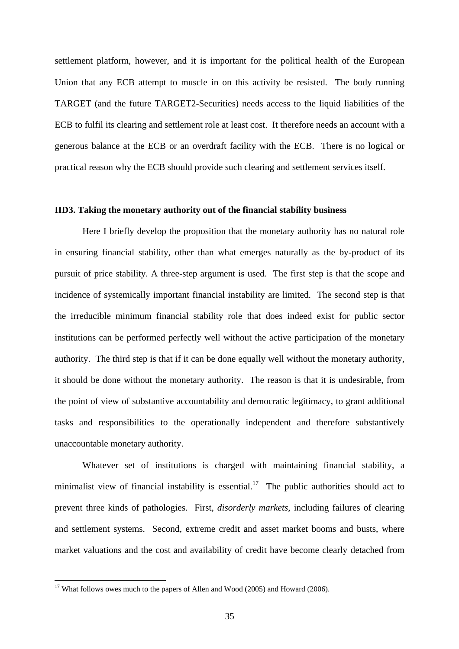settlement platform, however, and it is important for the political health of the European Union that any ECB attempt to muscle in on this activity be resisted. The body running TARGET (and the future TARGET2-Securities) needs access to the liquid liabilities of the ECB to fulfil its clearing and settlement role at least cost. It therefore needs an account with a generous balance at the ECB or an overdraft facility with the ECB. There is no logical or practical reason why the ECB should provide such clearing and settlement services itself.

#### **IID3. Taking the monetary authority out of the financial stability business**

Here I briefly develop the proposition that the monetary authority has no natural role in ensuring financial stability, other than what emerges naturally as the by-product of its pursuit of price stability. A three-step argument is used. The first step is that the scope and incidence of systemically important financial instability are limited. The second step is that the irreducible minimum financial stability role that does indeed exist for public sector institutions can be performed perfectly well without the active participation of the monetary authority. The third step is that if it can be done equally well without the monetary authority, it should be done without the monetary authority. The reason is that it is undesirable, from the point of view of substantive accountability and democratic legitimacy, to grant additional tasks and responsibilities to the operationally independent and therefore substantively unaccountable monetary authority.

Whatever set of institutions is charged with maintaining financial stability, a minimalist view of financial instability is essential.<sup>17</sup> The public authorities should act to prevent three kinds of pathologies. First, *disorderly markets*, including failures of clearing and settlement systems. Second, extreme credit and asset market booms and busts, where market valuations and the cost and availability of credit have become clearly detached from

 $\overline{a}$ 

<sup>&</sup>lt;sup>17</sup> What follows owes much to the papers of Allen and Wood (2005) and Howard (2006).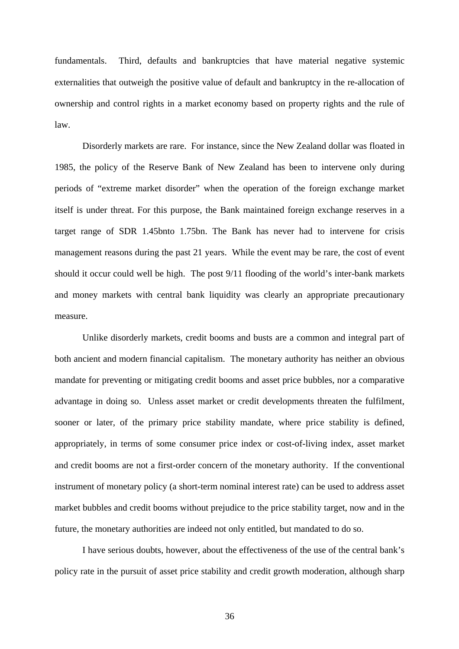fundamentals. Third, defaults and bankruptcies that have material negative systemic externalities that outweigh the positive value of default and bankruptcy in the re-allocation of ownership and control rights in a market economy based on property rights and the rule of law.

Disorderly markets are rare. For instance, since the New Zealand dollar was floated in 1985, the policy of the Reserve Bank of New Zealand has been to intervene only during periods of "extreme market disorder" when the operation of the foreign exchange market itself is under threat. For this purpose, the Bank maintained foreign exchange reserves in a target range of SDR 1.45bnto 1.75bn. The Bank has never had to intervene for crisis management reasons during the past 21 years. While the event may be rare, the cost of event should it occur could well be high. The post 9/11 flooding of the world's inter-bank markets and money markets with central bank liquidity was clearly an appropriate precautionary measure.

Unlike disorderly markets, credit booms and busts are a common and integral part of both ancient and modern financial capitalism. The monetary authority has neither an obvious mandate for preventing or mitigating credit booms and asset price bubbles, nor a comparative advantage in doing so. Unless asset market or credit developments threaten the fulfilment, sooner or later, of the primary price stability mandate, where price stability is defined, appropriately, in terms of some consumer price index or cost-of-living index, asset market and credit booms are not a first-order concern of the monetary authority. If the conventional instrument of monetary policy (a short-term nominal interest rate) can be used to address asset market bubbles and credit booms without prejudice to the price stability target, now and in the future, the monetary authorities are indeed not only entitled, but mandated to do so.

I have serious doubts, however, about the effectiveness of the use of the central bank's policy rate in the pursuit of asset price stability and credit growth moderation, although sharp

36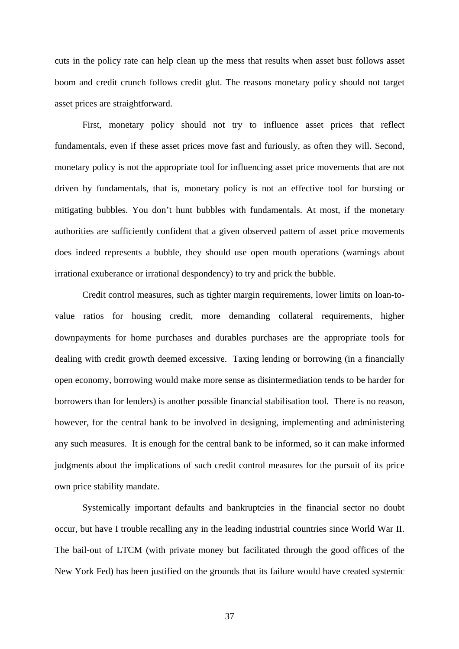cuts in the policy rate can help clean up the mess that results when asset bust follows asset boom and credit crunch follows credit glut. The reasons monetary policy should not target asset prices are straightforward.

First, monetary policy should not try to influence asset prices that reflect fundamentals, even if these asset prices move fast and furiously, as often they will. Second, monetary policy is not the appropriate tool for influencing asset price movements that are not driven by fundamentals, that is, monetary policy is not an effective tool for bursting or mitigating bubbles. You don't hunt bubbles with fundamentals. At most, if the monetary authorities are sufficiently confident that a given observed pattern of asset price movements does indeed represents a bubble, they should use open mouth operations (warnings about irrational exuberance or irrational despondency) to try and prick the bubble.

Credit control measures, such as tighter margin requirements, lower limits on loan-tovalue ratios for housing credit, more demanding collateral requirements, higher downpayments for home purchases and durables purchases are the appropriate tools for dealing with credit growth deemed excessive. Taxing lending or borrowing (in a financially open economy, borrowing would make more sense as disintermediation tends to be harder for borrowers than for lenders) is another possible financial stabilisation tool. There is no reason, however, for the central bank to be involved in designing, implementing and administering any such measures. It is enough for the central bank to be informed, so it can make informed judgments about the implications of such credit control measures for the pursuit of its price own price stability mandate.

Systemically important defaults and bankruptcies in the financial sector no doubt occur, but have I trouble recalling any in the leading industrial countries since World War II. The bail-out of LTCM (with private money but facilitated through the good offices of the New York Fed) has been justified on the grounds that its failure would have created systemic

37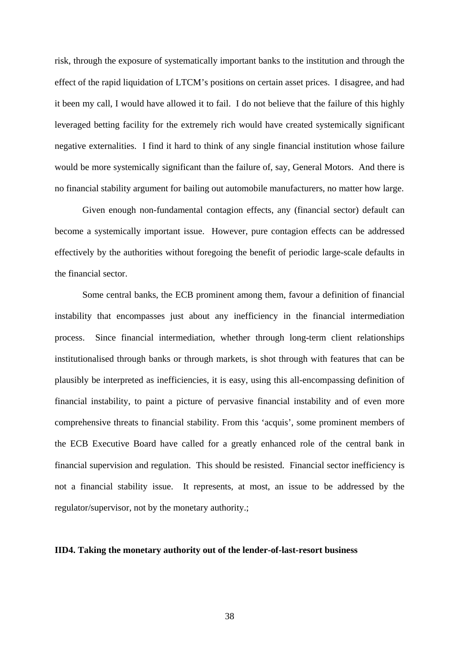risk, through the exposure of systematically important banks to the institution and through the effect of the rapid liquidation of LTCM's positions on certain asset prices. I disagree, and had it been my call, I would have allowed it to fail. I do not believe that the failure of this highly leveraged betting facility for the extremely rich would have created systemically significant negative externalities. I find it hard to think of any single financial institution whose failure would be more systemically significant than the failure of, say, General Motors. And there is no financial stability argument for bailing out automobile manufacturers, no matter how large.

Given enough non-fundamental contagion effects, any (financial sector) default can become a systemically important issue. However, pure contagion effects can be addressed effectively by the authorities without foregoing the benefit of periodic large-scale defaults in the financial sector.

Some central banks, the ECB prominent among them, favour a definition of financial instability that encompasses just about any inefficiency in the financial intermediation process. Since financial intermediation, whether through long-term client relationships institutionalised through banks or through markets, is shot through with features that can be plausibly be interpreted as inefficiencies, it is easy, using this all-encompassing definition of financial instability, to paint a picture of pervasive financial instability and of even more comprehensive threats to financial stability. From this 'acquis', some prominent members of the ECB Executive Board have called for a greatly enhanced role of the central bank in financial supervision and regulation. This should be resisted. Financial sector inefficiency is not a financial stability issue. It represents, at most, an issue to be addressed by the regulator/supervisor, not by the monetary authority.;

#### **IID4. Taking the monetary authority out of the lender-of-last-resort business**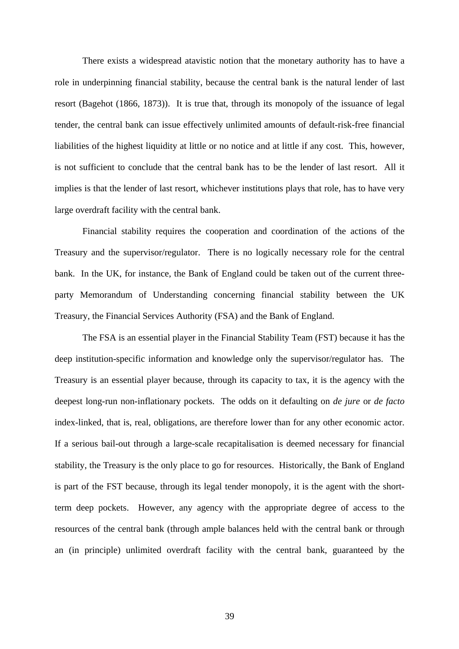There exists a widespread atavistic notion that the monetary authority has to have a role in underpinning financial stability, because the central bank is the natural lender of last resort (Bagehot (1866, 1873)). It is true that, through its monopoly of the issuance of legal tender, the central bank can issue effectively unlimited amounts of default-risk-free financial liabilities of the highest liquidity at little or no notice and at little if any cost. This, however, is not sufficient to conclude that the central bank has to be the lender of last resort. All it implies is that the lender of last resort, whichever institutions plays that role, has to have very large overdraft facility with the central bank.

Financial stability requires the cooperation and coordination of the actions of the Treasury and the supervisor/regulator. There is no logically necessary role for the central bank. In the UK, for instance, the Bank of England could be taken out of the current threeparty Memorandum of Understanding concerning financial stability between the UK Treasury, the Financial Services Authority (FSA) and the Bank of England.

The FSA is an essential player in the Financial Stability Team (FST) because it has the deep institution-specific information and knowledge only the supervisor/regulator has. The Treasury is an essential player because, through its capacity to tax, it is the agency with the deepest long-run non-inflationary pockets. The odds on it defaulting on *de jure* or *de facto* index-linked, that is, real, obligations, are therefore lower than for any other economic actor. If a serious bail-out through a large-scale recapitalisation is deemed necessary for financial stability, the Treasury is the only place to go for resources. Historically, the Bank of England is part of the FST because, through its legal tender monopoly, it is the agent with the shortterm deep pockets. However, any agency with the appropriate degree of access to the resources of the central bank (through ample balances held with the central bank or through an (in principle) unlimited overdraft facility with the central bank, guaranteed by the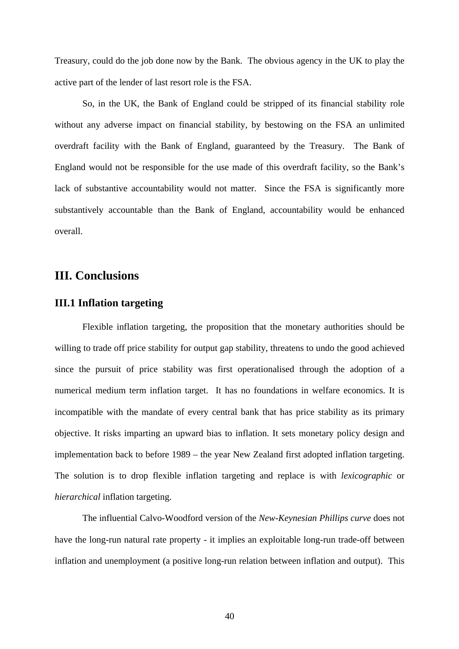Treasury, could do the job done now by the Bank. The obvious agency in the UK to play the active part of the lender of last resort role is the FSA.

So, in the UK, the Bank of England could be stripped of its financial stability role without any adverse impact on financial stability, by bestowing on the FSA an unlimited overdraft facility with the Bank of England, guaranteed by the Treasury. The Bank of England would not be responsible for the use made of this overdraft facility, so the Bank's lack of substantive accountability would not matter. Since the FSA is significantly more substantively accountable than the Bank of England, accountability would be enhanced overall.

# **III. Conclusions**

#### **III.1 Inflation targeting**

Flexible inflation targeting, the proposition that the monetary authorities should be willing to trade off price stability for output gap stability, threatens to undo the good achieved since the pursuit of price stability was first operationalised through the adoption of a numerical medium term inflation target. It has no foundations in welfare economics. It is incompatible with the mandate of every central bank that has price stability as its primary objective. It risks imparting an upward bias to inflation. It sets monetary policy design and implementation back to before 1989 – the year New Zealand first adopted inflation targeting. The solution is to drop flexible inflation targeting and replace is with *lexicographic* or *hierarchical* inflation targeting.

 The influential Calvo-Woodford version of the *New-Keynesian Phillips curve* does not have the long-run natural rate property - it implies an exploitable long-run trade-off between inflation and unemployment (a positive long-run relation between inflation and output). This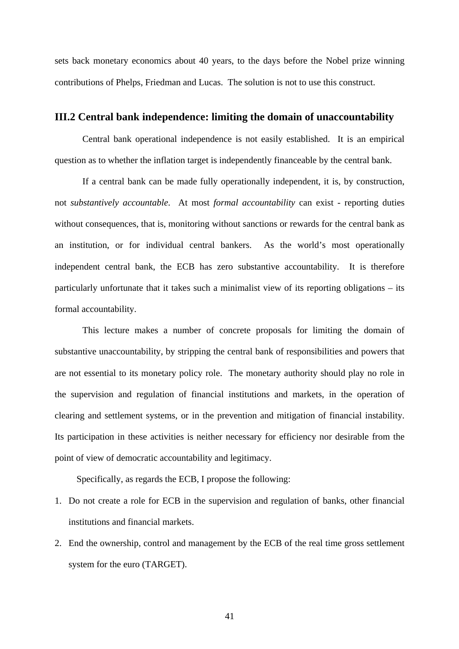sets back monetary economics about 40 years, to the days before the Nobel prize winning contributions of Phelps, Friedman and Lucas. The solution is not to use this construct.

#### **III.2 Central bank independence: limiting the domain of unaccountability**

 Central bank operational independence is not easily established. It is an empirical question as to whether the inflation target is independently financeable by the central bank.

If a central bank can be made fully operationally independent, it is, by construction, not *substantively accountable*. At most *formal accountability* can exist - reporting duties without consequences, that is, monitoring without sanctions or rewards for the central bank as an institution, or for individual central bankers. As the world's most operationally independent central bank, the ECB has zero substantive accountability. It is therefore particularly unfortunate that it takes such a minimalist view of its reporting obligations – its formal accountability.

This lecture makes a number of concrete proposals for limiting the domain of substantive unaccountability, by stripping the central bank of responsibilities and powers that are not essential to its monetary policy role. The monetary authority should play no role in the supervision and regulation of financial institutions and markets, in the operation of clearing and settlement systems, or in the prevention and mitigation of financial instability. Its participation in these activities is neither necessary for efficiency nor desirable from the point of view of democratic accountability and legitimacy.

Specifically, as regards the ECB, I propose the following:

- 1. Do not create a role for ECB in the supervision and regulation of banks, other financial institutions and financial markets.
- 2. End the ownership, control and management by the ECB of the real time gross settlement system for the euro (TARGET).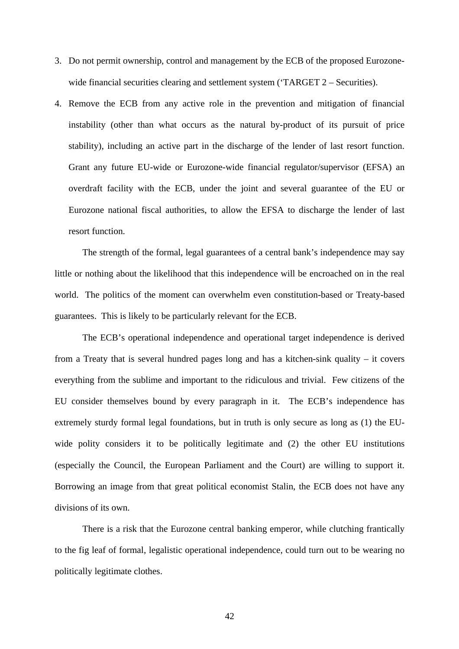- 3. Do not permit ownership, control and management by the ECB of the proposed Eurozonewide financial securities clearing and settlement system ('TARGET 2 – Securities).
- 4. Remove the ECB from any active role in the prevention and mitigation of financial instability (other than what occurs as the natural by-product of its pursuit of price stability), including an active part in the discharge of the lender of last resort function. Grant any future EU-wide or Eurozone-wide financial regulator/supervisor (EFSA) an overdraft facility with the ECB, under the joint and several guarantee of the EU or Eurozone national fiscal authorities, to allow the EFSA to discharge the lender of last resort function.

The strength of the formal, legal guarantees of a central bank's independence may say little or nothing about the likelihood that this independence will be encroached on in the real world. The politics of the moment can overwhelm even constitution-based or Treaty-based guarantees. This is likely to be particularly relevant for the ECB.

The ECB's operational independence and operational target independence is derived from a Treaty that is several hundred pages long and has a kitchen-sink quality – it covers everything from the sublime and important to the ridiculous and trivial. Few citizens of the EU consider themselves bound by every paragraph in it. The ECB's independence has extremely sturdy formal legal foundations, but in truth is only secure as long as (1) the EUwide polity considers it to be politically legitimate and (2) the other EU institutions (especially the Council, the European Parliament and the Court) are willing to support it. Borrowing an image from that great political economist Stalin, the ECB does not have any divisions of its own.

There is a risk that the Eurozone central banking emperor, while clutching frantically to the fig leaf of formal, legalistic operational independence, could turn out to be wearing no politically legitimate clothes.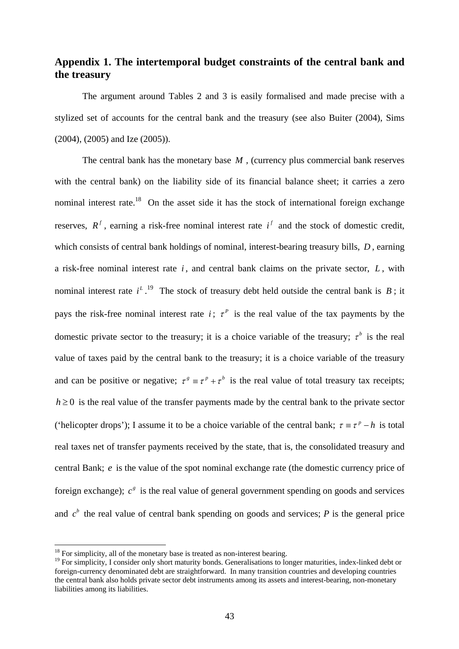# **Appendix 1. The intertemporal budget constraints of the central bank and the treasury**

 The argument around Tables 2 and 3 is easily formalised and made precise with a stylized set of accounts for the central bank and the treasury (see also Buiter (2004), Sims (2004), (2005) and Ize (2005)).

The central bank has the monetary base M, (currency plus commercial bank reserves with the central bank) on the liability side of its financial balance sheet; it carries a zero nominal interest rate.<sup>18</sup> On the asset side it has the stock of international foreign exchange reserves,  $R^f$ , earning a risk-free nominal interest rate  $i^f$  and the stock of domestic credit, which consists of central bank holdings of nominal, interest-bearing treasury bills, *D* , earning a risk-free nominal interest rate *i* , and central bank claims on the private sector, *L* , with nominal interest rate  $i^L$ .<sup>19</sup> The stock of treasury debt held outside the central bank is *B*; it pays the risk-free nominal interest rate *i*;  $\tau^P$  is the real value of the tax payments by the domestic private sector to the treasury; it is a choice variable of the treasury;  $\tau^b$  is the real value of taxes paid by the central bank to the treasury; it is a choice variable of the treasury and can be positive or negative;  $\tau^s = \tau^p + \tau^b$  is the real value of total treasury tax receipts;  $h \geq 0$  is the real value of the transfer payments made by the central bank to the private sector ('helicopter drops'); I assume it to be a choice variable of the central bank;  $\tau = \tau^p - h$  is total real taxes net of transfer payments received by the state, that is, the consolidated treasury and central Bank; *e* is the value of the spot nominal exchange rate (the domestic currency price of foreign exchange);  $c^s$  is the real value of general government spending on goods and services and  $c<sup>b</sup>$  the real value of central bank spending on goods and services; *P* is the general price

 $\overline{a}$ 

 $18$  For simplicity, all of the monetary base is treated as non-interest bearing.

<sup>&</sup>lt;sup>19</sup> For simplicity, I consider only short maturity bonds. Generalisations to longer maturities, index-linked debt or foreign-currency denominated debt are straightforward. In many transition countries and developing countries the central bank also holds private sector debt instruments among its assets and interest-bearing, non-monetary liabilities among its liabilities.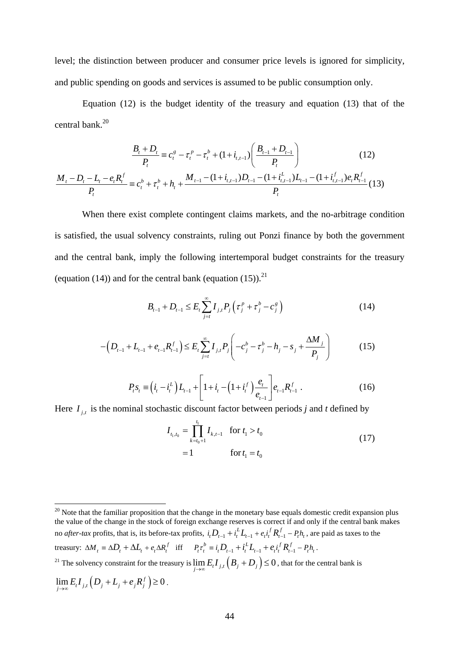level; the distinction between producer and consumer price levels is ignored for simplicity, and public spending on goods and services is assumed to be public consumption only.

Equation (12) is the budget identity of the treasury and equation (13) that of the central bank.20

$$
\frac{B_t + D_t}{P_t} = c_t^g - \tau_t^p - \tau_t^b + (1 + i_{t,t-1}) \left( \frac{B_{t-1} + D_{t-1}}{P_t} \right)
$$
(12)  

$$
\frac{M_t - D_t - L_t - e_t R_t^f}{P_t} = c_t^b + \tau_t^b + h_t + \frac{M_{t-1} - (1 + i_{t,t-1})D_{t-1} - (1 + i_{t,t-1}^L)L_{t-1} - (1 + i_{t,t-1}^f)e_t R_{t-1}^f}{P_t}
$$
(13)

 When there exist complete contingent claims markets, and the no-arbitrage condition is satisfied, the usual solvency constraints, ruling out Ponzi finance by both the government and the central bank, imply the following intertemporal budget constraints for the treasury (equation (14)) and for the central bank (equation (15)).<sup>21</sup>

$$
B_{t-1} + D_{t-1} \le E_t \sum_{j=t}^{\infty} I_{j,t} P_j \left( \tau_j^p + \tau_j^b - c_j^g \right)
$$
 (14)

$$
-\left(D_{t-1} + L_{t-1} + e_{t-1}R_{t-1}^f\right) \le E_t \sum_{j=t}^{\infty} I_{j,t} P_j \left(-c_j^b - \tau_j^b - h_j - s_j + \frac{\Delta M_j}{P_j}\right) \tag{15}
$$

$$
P_{t}S_{t} \equiv \left(\dot{i}_{t} - \dot{i}_{t}^{L}\right)L_{t-1} + \left[1 + \dot{i}_{t} - \left(1 + \dot{i}_{t}^{f}\right)\frac{e_{t}}{e_{t-1}}\right]e_{t-1}R_{t-1}^{f}.
$$
 (16)

Here  $I_{j,t}$  is the nominal stochastic discount factor between periods *j* and *t* defined by

$$
I_{t_1, t_0} = \prod_{k=t_0+1}^{t_1} I_{k, t-1} \quad \text{for } t_1 > t_0
$$
  
= 1 \qquad \qquad \text{for } t\_1 = t\_0 (17)

 $\overline{a}$  $20$  Note that the familiar proposition that the change in the monetary base equals domestic credit expansion plus the value of the change in the stock of foreign exchange reserves is correct if and only if the central bank makes no *after-tax* profits, that is, its before-tax profits,  $i_l D_{t-1} + i_l^L L_{t-1} + e_l i_l^f R_{t-1}^f - P_l h_t$ , are paid as taxes to the treasury:  $\Delta M_t = \Delta D_t + \Delta L_t + e_t \Delta R_t^f$  iff  $P_t \tau_t^b = i_t D_{t-1} + i_t^L L_{t-1} + e_t i_t^f R_{t-1}^f - P_t h_t$ . <sup>21</sup> The solvency constraint for the treasury is  $\lim_{j\to\infty} E_i I_{j,t} (B_j + D_j) \leq 0$ , that for the central bank is  $\lim_{j \to \infty} E_i I_{j,t} (D_j + L_j + e_j R_j^f) \ge 0$ .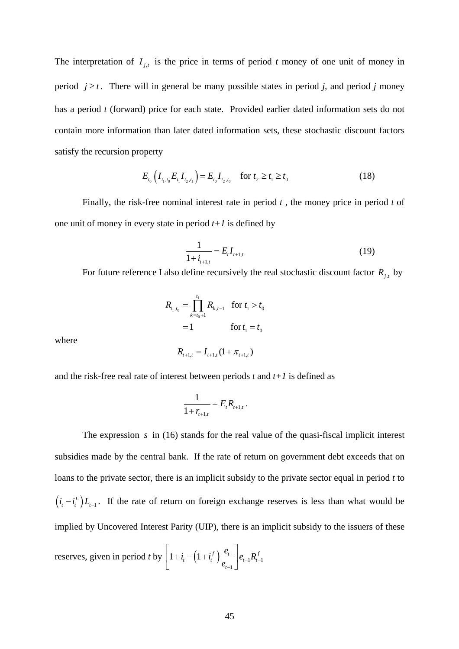The interpretation of  $I_{j,t}$  is the price in terms of period *t* money of one unit of money in period  $j \ge t$ . There will in general be many possible states in period *j*, and period *j* money has a period *t* (forward) price for each state.Provided earlier dated information sets do not contain more information than later dated information sets, these stochastic discount factors satisfy the recursion property

$$
E_{t_0}\left(I_{t_1,t_0}E_{t_1}I_{t_2,t_1}\right) = E_{t_0}I_{t_2,t_0} \quad \text{for } t_2 \ge t_1 \ge t_0 \tag{18}
$$

 Finally, the risk-free nominal interest rate in period *t* , the money price in period *t* of one unit of money in every state in period  $t+1$  is defined by

$$
\frac{1}{1+i_{t+1,t}} = E_t I_{t+1,t}
$$
\n(19)

For future reference I also define recursively the real stochastic discount factor  $R_{i,t}$  by

$$
R_{t_1, t_0} = \prod_{k=t_0+1}^{t_1} R_{k, t-1} \quad \text{for } t_1 > t_0
$$
  
= 1 \qquad \qquad \text{for } t\_1 = t\_0  

$$
R_{t+1, t} = I_{t+1, t} (1 + \pi_{t+1, t})
$$

where

and the risk-free real rate of interest between periods 
$$
t
$$
 and  $t+1$  is defined as

$$
\frac{1}{1+r_{t+1,t}}=E_t R_{t+1,t}.
$$

The expression *s* in (16) stands for the real value of the quasi-fiscal implicit interest subsidies made by the central bank. If the rate of return on government debt exceeds that on loans to the private sector, there is an implicit subsidy to the private sector equal in period *t* to  $(i_t - i_t^L)L_{t-1}$ . If the rate of return on foreign exchange reserves is less than what would be implied by Uncovered Interest Parity (UIP), there is an implicit subsidy to the issuers of these

reserves, given in period *t* by  $\left| 1+i_{t}-\left( 1+i_{t}^{f}\right) \right| \rightarrow e_{t-1}R_{t-1}^{f}$ 1  $1 + i_t - (1 + i_t^f) \frac{e_t}{\cdot} \Big| e_{t-1} R^f_{t-1}$ *t*  $i_{i} - (1 + i_{i}^{f}) \frac{e_{i}}{e_{i}} \bigg| e_{i} R$  $e_{t-1}$ <sup> $e_{t-1}$ </sup> $e_{t-1}$  $\begin{pmatrix} 1 & 0 \\ 0 & 0 \end{pmatrix}$  $\left|1+i_t-\left(1+i_t^f\right)\frac{e_t}{e}\right|$  $\begin{bmatrix} & & \cdots & & \cdots & & e_{t-1} \end{bmatrix}$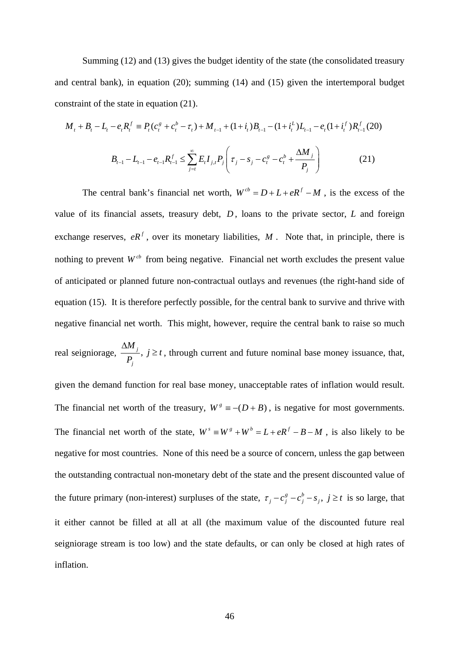Summing (12) and (13) gives the budget identity of the state (the consolidated treasury and central bank), in equation (20); summing (14) and (15) given the intertemporal budget constraint of the state in equation (21).

$$
M_{t} + B_{t} - L_{t} - e_{t}R_{t}^{f} \equiv P_{t}(c_{t}^{g} + c_{t}^{b} - \tau_{t}) + M_{t-1} + (1 + i_{t})B_{t-1} - (1 + i_{t}^{L})L_{t-1} - e_{t}(1 + i_{t}^{f})R_{t-1}^{f}(20)
$$

$$
B_{t-1} - L_{t-1} - e_{t-1}R_{t-1}^{f} \le \sum_{j=t}^{\infty} E_{t}I_{j,t}P_{j}\left(\tau_{j} - s_{j} - c_{t}^{g} - c_{t}^{b} + \frac{\Delta M_{j}}{P_{j}}\right)
$$
(21)

The central bank's financial net worth,  $W^{cb} = D + L + eR^{f} - M$ , is the excess of the value of its financial assets, treasury debt, *D* , loans to the private sector, *L* and foreign exchange reserves,  $eR<sup>f</sup>$ , over its monetary liabilities, *M*. Note that, in principle, there is nothing to prevent  $W^{cb}$  from being negative. Financial net worth excludes the present value of anticipated or planned future non-contractual outlays and revenues (the right-hand side of equation (15). It is therefore perfectly possible, for the central bank to survive and thrive with negative financial net worth. This might, however, require the central bank to raise so much real seigniorage,  $\frac{\Delta m_j}{n}$ , *j M*  $\frac{\sum_j}{P_i}$ ,  $j \ge t$ ∆  $\geq t$ , through current and future nominal base money issuance, that, given the demand function for real base money, unacceptable rates of inflation would result. The financial net worth of the treasury,  $W^s = -(D + B)$ , is negative for most governments. The financial net worth of the state,  $W^s = W^s + W^b = L + eR^f - B - M$ , is also likely to be negative for most countries. None of this need be a source of concern, unless the gap between the outstanding contractual non-monetary debt of the state and the present discounted value of

the future primary (non-interest) surpluses of the state,  $\tau_j - c_j^g - c_j^b - s_j$ ,  $j \ge t$  is so large, that it either cannot be filled at all at all (the maximum value of the discounted future real seigniorage stream is too low) and the state defaults, or can only be closed at high rates of inflation.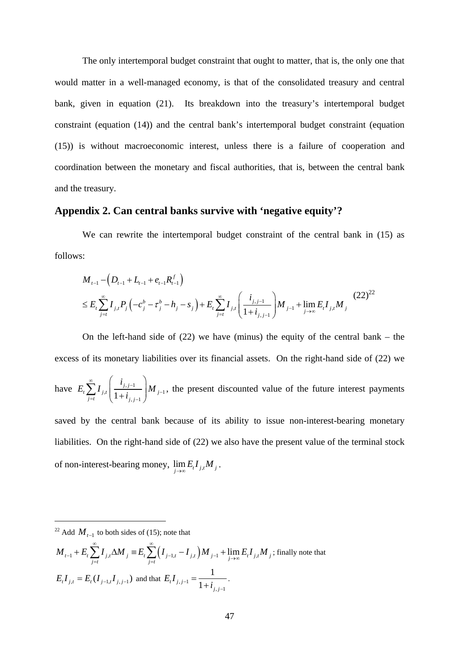The only intertemporal budget constraint that ought to matter, that is, the only one that would matter in a well-managed economy, is that of the consolidated treasury and central bank, given in equation (21). Its breakdown into the treasury's intertemporal budget constraint (equation (14)) and the central bank's intertemporal budget constraint (equation (15)) is without macroeconomic interest, unless there is a failure of cooperation and coordination between the monetary and fiscal authorities, that is, between the central bank and the treasury.

### **Appendix 2. Can central banks survive with 'negative equity'?**

We can rewrite the intertemporal budget constraint of the central bank in (15) as follows:

$$
M_{t-1} - \left(D_{t-1} + L_{t-1} + e_{t-1}R_{t-1}^f\right)
$$
  
\n
$$
\leq E_t \sum_{j=t}^{\infty} I_{j,t} P_j \left(-c_j^b - \tau_j^b - h_j - s_j\right) + E_t \sum_{j=t}^{\infty} I_{j,t} \left(\frac{i_{j,j-1}}{1+i_{j,j-1}}\right) M_{j-1} + \lim_{j \to \infty} E_t I_{j,t} M_j
$$
 (22)<sup>22</sup>

On the left-hand side of  $(22)$  we have (minus) the equity of the central bank – the excess of its monetary liabilities over its financial assets. On the right-hand side of (22) we have  $E_t \sum_{j=t} I_{j,t} \left( \frac{t_{j,j-1}}{1+i_{j,j-1}} \right) M_{j-1}$ *j j*  $t \sum_i I_{j,t}$   $\Big|$   $\frac{1}{1+i}$   $\Big|$   $\frac{M}{j}$  $j=t$   $\qquad \qquad$   $\qquad \qquad$   $\qquad \qquad$   $\qquad \qquad$   $\qquad \qquad$   $\qquad \qquad$   $\qquad \qquad$   $\qquad \qquad$   $\qquad \qquad$   $\qquad \qquad$   $\qquad \qquad$   $\qquad \qquad$   $\qquad \qquad$   $\qquad \qquad$   $\qquad \qquad$   $\qquad \qquad$   $\qquad \qquad$   $\qquad \qquad$   $\qquad \qquad$   $\qquad \qquad$   $\qquad \qquad$   $\qquad \qquad$   $\qquad \qquad$   $\qquad \qquad$  *i*  $E_{t}$ ,  $I_{i,t}$   $\frac{I_{j,j-1}}{I_{i,t}}$  *M i*  $\sum_{i=1}^{\infty}$   $\left(i_{i,i-1}\right)$ −  $=t$   $\left( 1+t_{i,j-1}\right)$  $\sum_{j=t}^{\infty} I_{j,t} \left( \frac{i_{j,j-1}}{1+i_{j,j-1}} \right) M_{j-1}$ , the present discounted value of the future interest payments

saved by the central bank because of its ability to issue non-interest-bearing monetary liabilities. On the right-hand side of (22) we also have the present value of the terminal stock of non-interest-bearing money,  $\lim_{j\to\infty} E_t I_{j,t} M_j$ .

 $\overline{a}$ 

$$
M_{t-1} + E_t \sum_{j=t}^{\infty} I_{j,t} \Delta M_j \equiv E_t \sum_{j=t}^{\infty} \left( I_{j-1,t} - I_{j,t} \right) M_{j-1} + \lim_{j \to \infty} E_t I_{j,t} M_j
$$
; finally note that  

$$
E_t I_{j,t} = E_t (I_{j-1,t} I_{j,j-1})
$$
 and that  $E_t I_{j,j-1} = \frac{1}{1 + i_{j,j-1}}$ .

<sup>&</sup>lt;sup>22</sup> Add  $M_{t-1}$  to both sides of (15); note that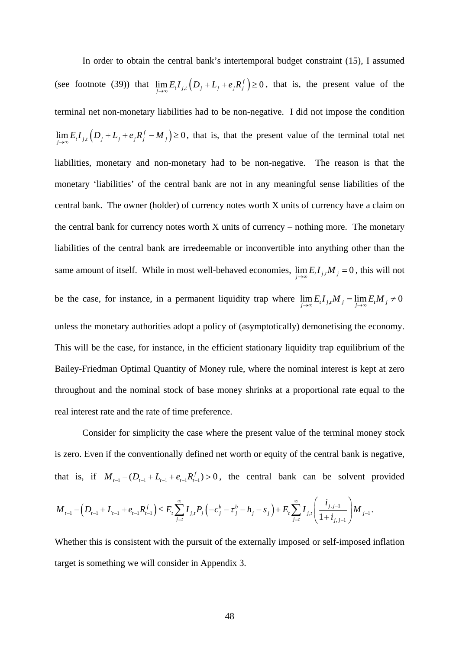In order to obtain the central bank's intertemporal budget constraint (15), I assumed (see footnote (39)) that  $\lim_{j\to\infty} E_i I_{j,t} (D_j + L_j + e_j R_j^f) \ge 0$ , that is, the present value of the terminal net non-monetary liabilities had to be non-negative. I did not impose the condition  $\lim_{j\to\infty} E_i I_{j,t} (D_j + L_j + e_j R_j^f - M_j) \ge 0$ , that is, that the present value of the terminal total net liabilities, monetary and non-monetary had to be non-negative. The reason is that the monetary 'liabilities' of the central bank are not in any meaningful sense liabilities of the central bank. The owner (holder) of currency notes worth X units of currency have a claim on the central bank for currency notes worth  $X$  units of currency – nothing more. The monetary liabilities of the central bank are irredeemable or inconvertible into anything other than the same amount of itself. While in most well-behaved economies,  $\lim_{j\to\infty} E_i I_{j,t} M_j = 0$ , this will not be the case, for instance, in a permanent liquidity trap where  $\lim_{j\to\infty} E_t I_{j,t} M_j = \lim_{j\to\infty} E_t M_j \neq 0$ unless the monetary authorities adopt a policy of (asymptotically) demonetising the economy. This will be the case, for instance, in the efficient stationary liquidity trap equilibrium of the Bailey-Friedman Optimal Quantity of Money rule, where the nominal interest is kept at zero throughout and the nominal stock of base money shrinks at a proportional rate equal to the real interest rate and the rate of time preference.

Consider for simplicity the case where the present value of the terminal money stock is zero. Even if the conventionally defined net worth or equity of the central bank is negative, that is, if  $M_{t-1} - (D_{t-1} + L_{t-1} + e_{t-1}R_{t-1}^f) > 0$ , the central bank can be solvent provided  $\left( D_{t-1} + L_{t-1} + e_{t-1} R_{t-1}^f \right) \leq E_t \sum_{j=t} I_{j,t} P_j \left( -c_j^b - \tau_j^b - h_j - s_j \right) + E_t \sum_{j=t} I_{j,t} \left( \frac{\iota_{j,j-1}}{1 + i_{j,j-1}} \right) M_{j-1}$  $f \mid f \in \nabla I$   $\mathbf{p} \mid \mathbf{p}^{b}$   $\mathbf{p}^{b}$   $\mathbf{p}^{b}$   $\mathbf{p}^{c}$   $\mathbf{p}^{c}$   $\mathbf{p}^{c}$   $\nabla I$   $\mathbf{p}^{c}$   $\mathbf{p}^{c}$  $t_{t-1}$   $\left\{ \begin{array}{ccc} D_{t-1} & D_{t-1} & D_{t-1} & D_{t-1} & D_{t-1} & D_{t-1} \end{array} \right\}$ *j*=*t*  $\left($  **l**  $\uparrow$   $\uparrow$   $\downarrow$   $\downarrow$   $\uparrow$   $\uparrow$   $\downarrow$   $\downarrow$   $\uparrow$   $\downarrow$   $\downarrow$   $\downarrow$   $\uparrow$   $\downarrow$   $\downarrow$   $\downarrow$ *i*  $M_{t-1} - (D_{t-1} + L_{t-1} + e_{t-1}R_{t-1}^f) \leq E_t \sum I_{i,t} P_i (-c_i^b - \tau_i^b - h_i - s_i) + E_t \sum I_{i,t} \frac{r_{i,t} - 1}{r_{i,t} - r_{i,t}} M$  $\sum_{i=t}^{\infty} I_{j,t} P_j \left(-c_j^b - \tau_j^b - h_j - s_j\right) + E_t \sum_{i=t}^{\infty} I_{j,t} \left(\frac{i_{j,j-1}}{1+i_j}\right)$  $-1 - \left( D_{t-1} + L_{t-1} + e_{t-1} N_{t-1} \right) \leq L_t \sum I_{j,t} I_{j} \left( -C_j - \iota_j - N_j - S_j \right) + L_t \sum I_{j,t} \left( \frac{1}{1 + \cdots} \right) M_{j-1}$  $_{j=t}$   $\qquad \qquad$   $_{j=t}$   $\qquad \qquad$   $\qquad$   $\qquad \qquad$   $\qquad$   $\qquad \qquad$   $\qquad \qquad$  $(i_{i,j+1})$  $-\left(D_{t-1}+L_{t-1}+e_{t-1}R_{t-1}^f\right)\leq E_t\sum_{j=t}I_{j,t}P_j\left(-c_j^b-\tau_j^b-h_j-s_j\right)+E_t\sum_{j=t}I_{j,t}\left(\frac{\iota_{j,j-1}}{1+i_{j,j-1}}\right)M_{j-1}.$ 

Whether this is consistent with the pursuit of the externally imposed or self-imposed inflation target is something we will consider in Appendix 3.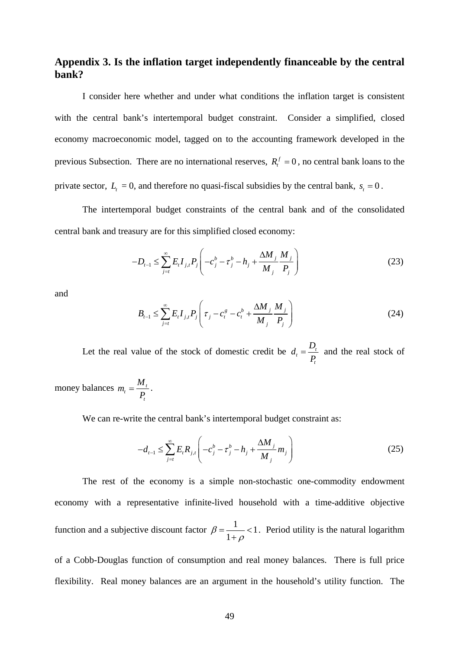# **Appendix 3. Is the inflation target independently financeable by the central bank?**

I consider here whether and under what conditions the inflation target is consistent with the central bank's intertemporal budget constraint. Consider a simplified, closed economy macroeconomic model, tagged on to the accounting framework developed in the previous Subsection. There are no international reserves,  $R_t^f = 0$ , no central bank loans to the private sector,  $L_t = 0$ , and therefore no quasi-fiscal subsidies by the central bank,  $s_t = 0$ .

 The intertemporal budget constraints of the central bank and of the consolidated central bank and treasury are for this simplified closed economy:

$$
-D_{t-1} \le \sum_{j=t}^{\infty} E_t I_{j,t} P_j \left( -c_j^b - \tau_j^b - h_j + \frac{\Delta M_j}{M_j} \frac{M_j}{P_j} \right) \tag{23}
$$

and

$$
B_{t-1} \le \sum_{j=t}^{\infty} E_t I_{j,t} P_j \left( \tau_j - c_i^s - c_i^b + \frac{\Delta M_j}{M_j} \frac{M_j}{P_j} \right)
$$
 (24)

Let the real value of the stock of domestic credit be  $d_t = \frac{D_t}{R}$ *t*  $d_t = \frac{D_t}{P_t}$  and the real stock of

money balances  $m_t = \frac{m_t}{R}$ *t*  $m_t = \frac{M_t}{P_t}$ .

We can re-write the central bank's intertemporal budget constraint as:

$$
-d_{t-1} \le \sum_{j=t}^{\infty} E_t R_{j,t} \left( -c_j^b - \tau_j^b - h_j + \frac{\Delta M_j}{M_j} m_j \right)
$$
(25)

The rest of the economy is a simple non-stochastic one-commodity endowment economy with a representative infinite-lived household with a time-additive objective function and a subjective discount factor  $\beta = \frac{1}{1 - \epsilon}$  $\beta = \frac{1}{1+\rho}$ . Period utility is the natural logarithm

of a Cobb-Douglas function of consumption and real money balances. There is full price flexibility. Real money balances are an argument in the household's utility function. The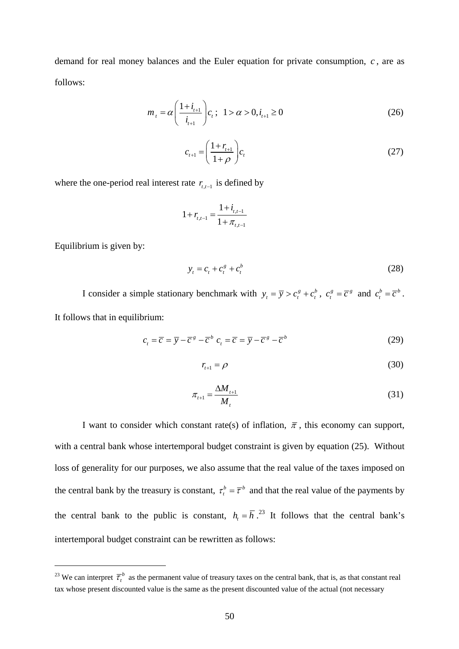demand for real money balances and the Euler equation for private consumption, *c* , are as follows:

$$
m_{t} = \alpha \left(\frac{1+i_{t+1}}{i_{t+1}}\right) c_{t}; \ \ 1 > \alpha > 0, i_{t+1} \ge 0 \tag{26}
$$

$$
c_{t+1} = \left(\frac{1+r_{t+1}}{1+\rho}\right)c_t
$$
 (27)

where the one-period real interest rate  $r_{t,t-1}$  is defined by

$$
1 + r_{t,t-1} = \frac{1 + i_{t,t-1}}{1 + \pi_{t,t-1}}
$$

Equilibrium is given by:

 $\overline{a}$ 

$$
y_t = c_t + c_t^g + c_t^b \tag{28}
$$

I consider a simple stationary benchmark with  $y_t = \overline{y} > c_t^g + c_t^b$ ,  $c_t^g = \overline{c}^g$  and  $c_t^b = \overline{c}^b$ . It follows that in equilibrium:

$$
c_t = \overline{c} = \overline{y} - \overline{c}^s - \overline{c}^b \ c_t = \overline{c} = \overline{y} - \overline{c}^s - \overline{c}^b \tag{29}
$$

$$
r_{t+1} = \rho \tag{30}
$$

$$
\pi_{t+1} = \frac{\Delta M_{t+1}}{M_t}
$$
\n(31)

I want to consider which constant rate(s) of inflation,  $\bar{\pi}$ , this economy can support, with a central bank whose intertemporal budget constraint is given by equation (25). Without loss of generality for our purposes, we also assume that the real value of the taxes imposed on the central bank by the treasury is constant,  $\tau_t^b = \overline{\tau}^b$  and that the real value of the payments by the central bank to the public is constant,  $h_t = \overline{h}$ .<sup>23</sup> It follows that the central bank's intertemporal budget constraint can be rewritten as follows:

<sup>&</sup>lt;sup>23</sup> We can interpret  $\overline{\tau}^b_t$  as the permanent value of treasury taxes on the central bank, that is, as that constant real tax whose present discounted value is the same as the present discounted value of the actual (not necessary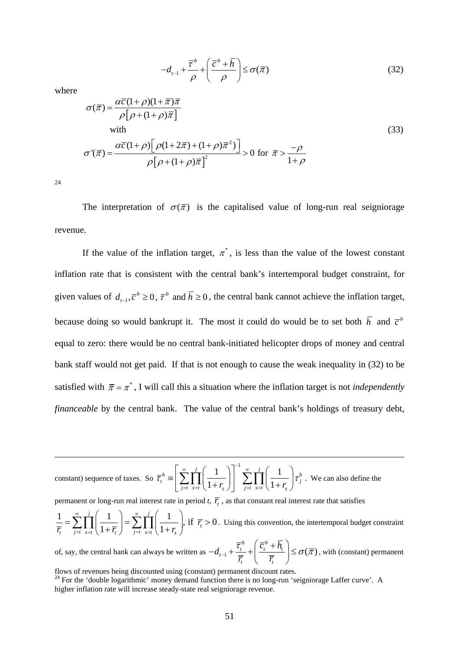$$
-d_{t-1} + \frac{\overline{\tau}^b}{\rho} + \left(\frac{\overline{c}^b + \overline{h}}{\rho}\right) \le \sigma(\overline{\pi})
$$
\n(32)

where

$$
\sigma(\overline{\pi}) = \frac{\alpha \overline{c} (1 + \rho)(1 + \overline{\pi}) \overline{\pi}}{\rho [\rho + (1 + \rho)\overline{\pi}]}\nwith\n\sigma'(\overline{\pi}) = \frac{\alpha \overline{c} (1 + \rho) [\rho (1 + 2\overline{\pi}) + (1 + \rho)\overline{\pi}^2]}{\rho [\rho + (1 + \rho)\overline{\pi}]^2} > 0 \text{ for } \overline{\pi} > \frac{-\rho}{1 + \rho}
$$
\n(33)

 $24$ 

 $\overline{a}$ 

The interpretation of  $\sigma(\bar{\pi})$  is the capitalised value of long-run real seigniorage revenue.

If the value of the inflation target,  $\pi^*$ , is less than the value of the lowest constant inflation rate that is consistent with the central bank's intertemporal budget constraint, for given values of  $d_{t-1}$ ,  $\overline{c}^b \ge 0$ ,  $\overline{\tau}^b$  and  $\overline{h} \ge 0$ , the central bank cannot achieve the inflation target, because doing so would bankrupt it. The most it could do would be to set both  $\bar{h}$  and  $\bar{c}^b$ equal to zero: there would be no central bank-initiated helicopter drops of money and central bank staff would not get paid. If that is not enough to cause the weak inequality in (32) to be satisfied with  $\bar{\pi} = \pi^*$ , I will call this a situation where the inflation target is not *independently financeable* by the central bank. The value of the central bank's holdings of treasury debt,

constant) sequence of taxes. So  $1\bigcap^{1}$   $\sum_{r=1}^{\infty}$   $\frac{j}{r-1}$   $\bigg(1\bigg)$  $1 + r_s$   $\left| \begin{array}{c} \left| \begin{array}{c} \right| \\ \left| \right| \end{array} \right| = t \end{array}$  $\mathbf{b} = \begin{pmatrix} \infty & j \\ \nabla \mathbf{H} \end{pmatrix} \begin{pmatrix} 1 \\ 1 \end{pmatrix} \begin{pmatrix} \infty & j \\ \nabla \mathbf{H} \end{pmatrix} \begin{pmatrix} 1 \\ 0 \end{pmatrix}$  $\tau_i = \left| \sum_{j=t} I_{s=t} \left( \frac{1}{1+r_s} \right) \right| \left| \sum_{j=t} I_{s=t} \left( \frac{1}{1+r_s} \right) \tau_j \right|$ ∞  $j$   $\begin{pmatrix} 1 \\ 1 \end{pmatrix}$   $^{-1}$  ∞  $=\left[\sum_{j=t}^{\infty}\prod_{s=t}^{j}\left(\frac{1}{1+r_s}\right)\right]^{-1}\sum_{j=t}^{\infty}\prod_{s=t}^{j}\left(\frac{1}{1+r_s}\right)\tau_j^b$ . We can also define the

permanent or long-run real interest rate in period  $t$ ,  $\overline{r}$ , as that constant real interest rate that satisfies

 $\frac{1}{\overline{r_{i}}} = \sum_{i=t}^{\infty} \prod_{s=t}^{j} \left( \frac{1}{1+\overline{r_{i}}} \right) = \sum_{i=t}^{\infty} \prod_{s=t}^{j} \left( \frac{1}{1+r_{s}} \right), \text{ if } \overline{r_{i}} > 0$ *t t j*=*t s*=*t*  $\left($  **1**  $\pm$  *l***<sub>t</sub>**</sub> *j j*=*t s*=*t*  $\left($  **1**  $\pm$  *l***<sub>***s***</sub>** *r*  $\overline{r_r}$   $\leftarrow$   $\prod_{i=t}$   $\prod_{s=t}$   $\left(1+\overline{r_r}\right)$   $\leftarrow$   $\prod_{i=t}$   $\prod_{s=t}$   $\left(1+r_i\right)$ ∞ *j* (1) ∞  $=t$   $s=t$   $\begin{pmatrix} 1 & t \\ t & t \end{pmatrix}$   $j=t$   $s=t$  $=\sum_{j=t}^{\infty} \prod_{s=t}^{j} \left( \frac{1}{1+\overline{r}_t} \right) = \sum_{j=t}^{\infty} \prod_{s=t}^{j} \left( \frac{1}{1+r_s} \right)$ , if  $\overline{r}_t > 0$ . Using this convention, the intertemporal budget constraint

of, say, the central bank can always be written as  $-d_{t-1} + \frac{c_t}{\tau} + \left| \frac{c_t + n_t}{\tau} \right| \leq \sigma(\overline{\pi})$ *b b*  $t_{t-1} + \frac{t_t}{t} + \frac{c_t + n_t}{t}$ *t t*  $d_{t-1} + \frac{\overline{\tau}_t^b}{\overline{\phantom{a}}}- \left( \frac{\overline{c}_t^b + h}{\overline{\phantom{a}}}\right)$  $\overline{r_{i}}$   $\sqrt{\overline{r_{i}}}$  $\left|\frac{\tau_i}{t_1}+\frac{\tau_i}{t_2}+\right|\frac{c_i^*+h_i}{t_1}\leq \sigma(\bar{\pi})$  $\left( \overline{c}_{i}^{b}+\overline{h}_{i}\right)$  $-d_{t-1}+\frac{\epsilon_t}{\overline{r}_t}+\left(\frac{\epsilon_t+r_t}{\overline{r}_t}\right)\leq \sigma(\overline{\pi})$ , with (constant) permanent

flows of revenues being discounted using (constant) permanent discount rates.

<sup>&</sup>lt;sup>24</sup> For the 'double logarithmic' money demand function there is no long-run 'seigniorage Laffer curve'. A higher inflation rate will increase steady-state real seigniorage revenue.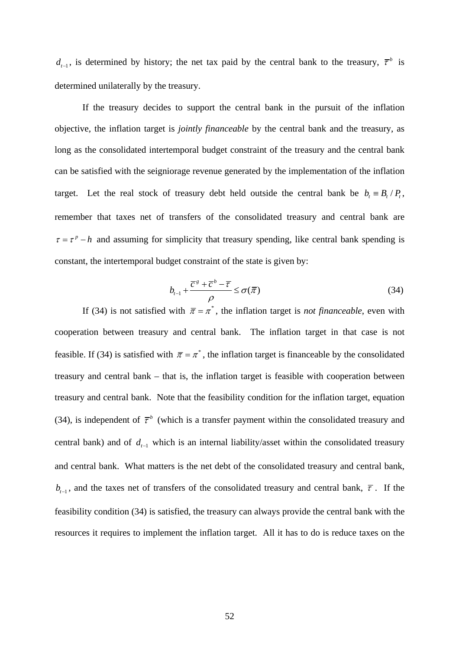$d_{t-1}$ , is determined by history; the net tax paid by the central bank to the treasury,  $\bar{\tau}^b$  is determined unilaterally by the treasury.

If the treasury decides to support the central bank in the pursuit of the inflation objective, the inflation target is *jointly financeable* by the central bank and the treasury, as long as the consolidated intertemporal budget constraint of the treasury and the central bank can be satisfied with the seigniorage revenue generated by the implementation of the inflation target. Let the real stock of treasury debt held outside the central bank be  $b_t = B_t / P_t$ , remember that taxes net of transfers of the consolidated treasury and central bank are  $\tau = \tau^p - h$  and assuming for simplicity that treasury spending, like central bank spending is constant, the intertemporal budget constraint of the state is given by:

$$
b_{t-1} + \frac{\overline{c}^g + \overline{c}^b - \overline{r}}{\rho} \le \sigma(\overline{\pi})
$$
\n(34)

If (34) is not satisfied with  $\bar{\pi} = \pi^*$ , the inflation target is *not financeable*, even with cooperation between treasury and central bank. The inflation target in that case is not feasible. If (34) is satisfied with  $\bar{\pi} = \pi^*$ , the inflation target is financeable by the consolidated treasury and central bank – that is, the inflation target is feasible with cooperation between treasury and central bank. Note that the feasibility condition for the inflation target, equation (34), is independent of  $\bar{\tau}^b$  (which is a transfer payment within the consolidated treasury and central bank) and of  $d_{t-1}$  which is an internal liability/asset within the consolidated treasury and central bank. What matters is the net debt of the consolidated treasury and central bank,  $b_{r-1}$ , and the taxes net of transfers of the consolidated treasury and central bank,  $\bar{\tau}$ . If the feasibility condition (34) is satisfied, the treasury can always provide the central bank with the resources it requires to implement the inflation target. All it has to do is reduce taxes on the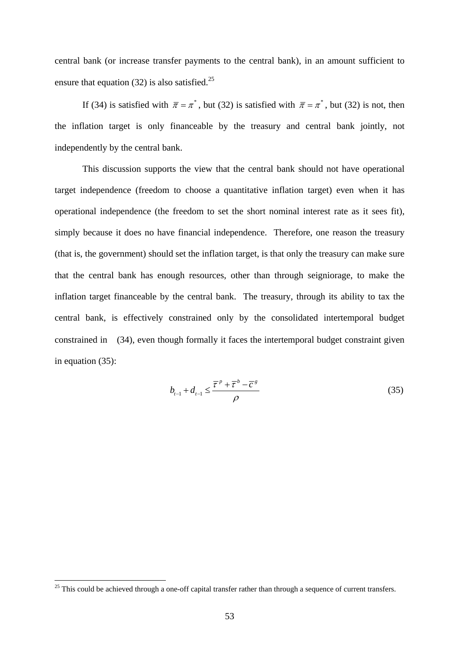central bank (or increase transfer payments to the central bank), in an amount sufficient to ensure that equation (32) is also satisfied.<sup>25</sup>

If (34) is satisfied with  $\bar{\pi} = \pi^*$ , but (32) is satisfied with  $\bar{\pi} = \pi^*$ , but (32) is not, then the inflation target is only financeable by the treasury and central bank jointly, not independently by the central bank.

This discussion supports the view that the central bank should not have operational target independence (freedom to choose a quantitative inflation target) even when it has operational independence (the freedom to set the short nominal interest rate as it sees fit), simply because it does no have financial independence. Therefore, one reason the treasury (that is, the government) should set the inflation target, is that only the treasury can make sure that the central bank has enough resources, other than through seigniorage, to make the inflation target financeable by the central bank. The treasury, through its ability to tax the central bank, is effectively constrained only by the consolidated intertemporal budget constrained in (34), even though formally it faces the intertemporal budget constraint given in equation (35):

$$
b_{t-1} + d_{t-1} \leq \frac{\overline{\tau}^p + \overline{\tau}^b - \overline{c}^g}{\rho} \tag{35}
$$

 $\overline{a}$ 

 $25$  This could be achieved through a one-off capital transfer rather than through a sequence of current transfers.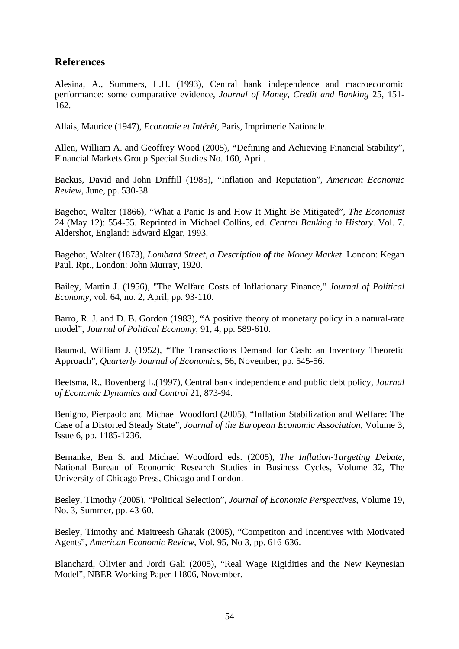# **References**

Alesina, A., Summers, L.H. (1993), Central bank independence and macroeconomic performance: some comparative evidence, *Journal of Money, Credit and Banking* 25, 151- 162.

Allais, Maurice (1947), *Economie et Intérêt*, Paris, Imprimerie Nationale.

Allen, William A. and Geoffrey Wood (2005), **"**Defining and Achieving Financial Stability", Financial Markets Group Special Studies No. 160, April.

Backus, David and John Driffill (1985), "Inflation and Reputation", *American Economic Review*, June, pp. 530-38.

Bagehot, Walter (1866), "What a Panic Is and How It Might Be Mitigated", *The Economist* 24 (May 12): 554-55. Reprinted in Michael Collins, ed. *Central Banking in History*. Vol. 7. Aldershot, England: Edward Elgar, 1993.

Bagehot, Walter (1873), *Lombard Street, a Description of the Money Market*. London: Kegan Paul. Rpt., London: John Murray, 1920.

Bailey, Martin J. (1956), "The Welfare Costs of Inflationary Finance," *Journal of Political Economy*, vol. 64, no. 2, April, pp. 93-110.

Barro, R. J. and D. B. Gordon (1983), "A positive theory of monetary policy in a natural-rate model", *Journal of Political Economy*, 91, 4, pp. 589-610.

Baumol, William J. (1952), "The Transactions Demand for Cash: an Inventory Theoretic Approach", *Quarterly Journal of Economics*, 56, November, pp. 545-56.

Beetsma, R., Bovenberg L.(1997), Central bank independence and public debt policy, *Journal of Economic Dynamics and Control* 21, 873-94.

Benigno, Pierpaolo and Michael Woodford (2005), "Inflation Stabilization and Welfare: The Case of a Distorted Steady State", *Journal of the European Economic Association*, Volume 3, Issue 6, pp. 1185-1236.

Bernanke, Ben S. and Michael Woodford eds. (2005), *The Inflation-Targeting Debate*, National Bureau of Economic Research Studies in Business Cycles, Volume 32, The University of Chicago Press, Chicago and London.

Besley, Timothy (2005), "Political Selection", *Journal of Economic Perspectives*, Volume 19, No. 3, Summer, pp. 43-60.

Besley, Timothy and Maitreesh Ghatak (2005), "Competiton and Incentives with Motivated Agents", *American Economic Review*, Vol. 95, No 3, pp. 616-636.

Blanchard, Olivier and Jordi Gali (2005), "Real Wage Rigidities and the New Keynesian Model", NBER Working Paper 11806, November.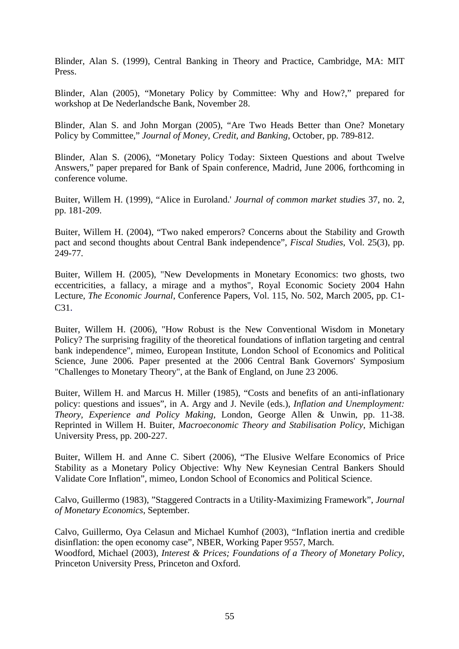Blinder, Alan S. (1999), Central Banking in Theory and Practice, Cambridge, MA: MIT Press.

Blinder, Alan (2005), "Monetary Policy by Committee: Why and How?," prepared for workshop at De Nederlandsche Bank, November 28.

Blinder, Alan S. and John Morgan (2005), "Are Two Heads Better than One? Monetary Policy by Committee," *Journal of Money, Credit, and Banking*, October, pp. 789-812.

Blinder, Alan S. (2006), "Monetary Policy Today: Sixteen Questions and about Twelve Answers," paper prepared for Bank of Spain conference, Madrid, June 2006, forthcoming in conference volume.

Buiter, Willem H. (1999), "Alice in Euroland.' *Journal of common market studie*s 37, no. 2, pp. 181-209.

Buiter, Willem H. (2004), "Two naked emperors? Concerns about the Stability and Growth pact and second thoughts about Central Bank independence", *Fiscal Studies*, Vol. 25(3), pp. 249-77.

Buiter, Willem H. (2005), "New Developments in Monetary Economics: two ghosts, two eccentricities, a fallacy, a mirage and a mythos", Royal Economic Society 2004 Hahn Lecture, *The Economic Journal*, Conference Papers, Vol. 115, No. 502, March 2005, pp. C1- C31.

Buiter, Willem H. (2006), "How Robust is the New Conventional Wisdom in Monetary Policy? The surprising fragility of the theoretical foundations of inflation targeting and central bank independence", mimeo, European Institute, London School of Economics and Political Science, June 2006. Paper presented at the 2006 Central Bank Governors' Symposium "Challenges to Monetary Theory", at the Bank of England, on June 23 2006.

Buiter, Willem H. and Marcus H. Miller (1985), "Costs and benefits of an anti-inflationary policy: questions and issues", in A. Argy and J. Nevile (eds.), *Inflation and Unemployment: Theory, Experience and Policy Making*, London, George Allen & Unwin, pp. 11-38. Reprinted in Willem H. Buiter, *Macroeconomic Theory and Stabilisation Policy*, Michigan University Press, pp. 200-227.

Buiter, Willem H. and Anne C. Sibert (2006), "The Elusive Welfare Economics of Price Stability as a Monetary Policy Objective: Why New Keynesian Central Bankers Should Validate Core Inflation", mimeo, London School of Economics and Political Science.

Calvo, Guillermo (1983), "Staggered Contracts in a Utility-Maximizing Framework", *Journal of Monetary Economics*, September.

Calvo, Guillermo, Oya Celasun and Michael Kumhof (2003), "Inflation inertia and credible disinflation: the open economy case", NBER, Working Paper 9557, March. Woodford, Michael (2003), *Interest & Prices; Foundations of a Theory of Monetary Policy*, Princeton University Press, Princeton and Oxford.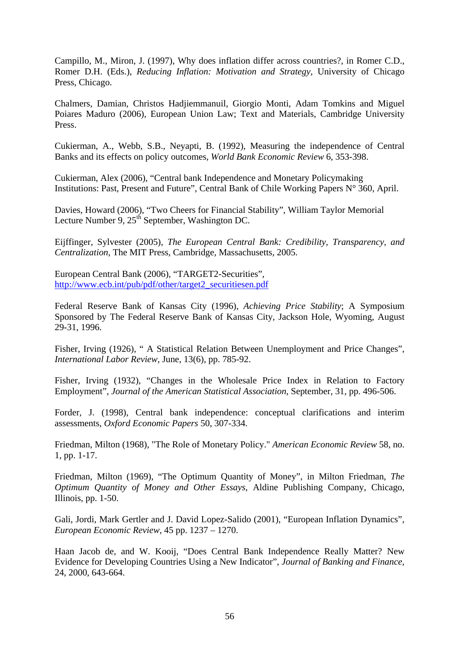Campillo, M., Miron, J. (1997), Why does inflation differ across countries?, in Romer C.D., Romer D.H. (Eds.), *Reducing Inflation: Motivation and Strategy*, University of Chicago Press, Chicago.

Chalmers, Damian, Christos Hadjiemmanuil, Giorgio Monti, Adam Tomkins and Miguel Poiares Maduro (2006), European Union Law; Text and Materials, Cambridge University Press.

Cukierman, A., Webb, S.B., Neyapti, B. (1992), Measuring the independence of Central Banks and its effects on policy outcomes, *World Bank Economic Review* 6, 353-398.

Cukierman, Alex (2006), "Central bank Independence and Monetary Policymaking Institutions: Past, Present and Future", Central Bank of Chile Working Papers N° 360, April.

Davies, Howard (2006), "Two Cheers for Financial Stability", William Taylor Memorial Lecture Number 9, 25<sup>th</sup> September, Washington DC.

Eijffinger, Sylvester (2005), *The European Central Bank: Credibility, Transparency, and Centralization*, The MIT Press, Cambridge, Massachusetts, 2005.

European Central Bank (2006), "TARGET2-Securities", http://www.ecb.int/pub/pdf/other/target2\_securitiesen.pdf

Federal Reserve Bank of Kansas City (1996), *Achieving Price Stability*; A Symposium Sponsored by The Federal Reserve Bank of Kansas City, Jackson Hole, Wyoming, August 29-31, 1996.

Fisher, Irving (1926), " A Statistical Relation Between Unemployment and Price Changes", *International Labor Review*, June, 13(6), pp. 785-92.

Fisher, Irving (1932), "Changes in the Wholesale Price Index in Relation to Factory Employment", *Journal of the American Statistical Association*, September, 31, pp. 496-506.

Forder, J. (1998), Central bank independence: conceptual clarifications and interim assessments, *Oxford Economic Papers* 50, 307-334.

Friedman, Milton (1968), "The Role of Monetary Policy." *American Economic Review* 58, no. 1, pp. 1-17.

Friedman, Milton (1969), "The Optimum Quantity of Money", in Milton Friedman, *The Optimum Quantity of Money and Other Essays*, Aldine Publishing Company, Chicago, Illinois, pp. 1-50.

Gali, Jordi, Mark Gertler and J. David Lopez-Salido (2001), "European Inflation Dynamics", *European Economic Review*, 45 pp. 1237 – 1270.

Haan Jacob de, and W. Kooij, "Does Central Bank Independence Really Matter? New Evidence for Developing Countries Using a New Indicator", *Journal of Banking and Finance*, 24, 2000, 643-664.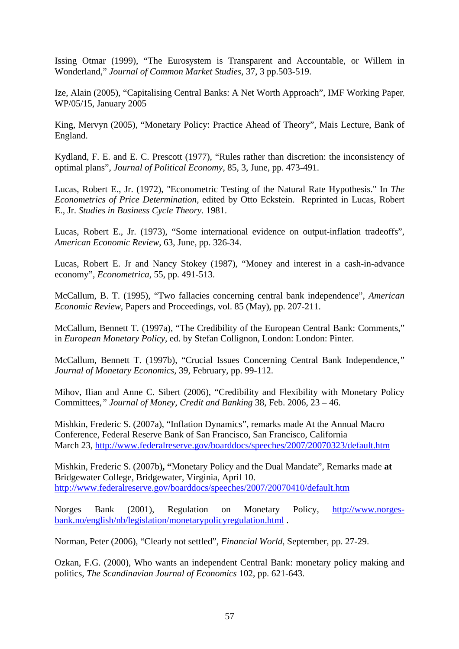Issing Otmar (1999), "The Eurosystem is Transparent and Accountable, or Willem in Wonderland," *Journal of Common Market Studies*, 37, 3 pp.503-519.

Ize, Alain (2005), "Capitalising Central Banks: A Net Worth Approach", IMF Working Paper, WP/05/15, January 2005

King, Mervyn (2005), "Monetary Policy: Practice Ahead of Theory", Mais Lecture, Bank of England.

Kydland, F. E. and E. C. Prescott (1977), "Rules rather than discretion: the inconsistency of optimal plans", *Journal of Political Economy*, 85, 3, June, pp. 473-491.

Lucas, Robert E., Jr. (1972), "Econometric Testing of the Natural Rate Hypothesis." In *The Econometrics of Price Determination,* edited by Otto Eckstein. Reprinted in Lucas, Robert E., Jr. *Studies in Business Cycle Theory.* 1981.

Lucas, Robert E., Jr. (1973), "Some international evidence on output-inflation tradeoffs", *American Economic Review*, 63, June, pp. 326-34.

Lucas, Robert E. Jr and Nancy Stokey (1987), "Money and interest in a cash-in-advance economy", *Econometrica*, 55, pp. 491-513.

McCallum, B. T. (1995), "Two fallacies concerning central bank independence", *American Economic Review*, Papers and Proceedings, vol. 85 (May), pp. 207-211.

McCallum, Bennett T. (1997a), "The Credibility of the European Central Bank: Comments," in *European Monetary Policy,* ed. by Stefan Collignon, London: London: Pinter.

McCallum, Bennett T. (1997b), "Crucial Issues Concerning Central Bank Independence*," Journal of Monetary Economics,* 39, February, pp. 99-112.

Mihov, Ilian and Anne C. Sibert (2006), "Credibility and Flexibility with Monetary Policy Committees,*" Journal of Money, Credit and Banking* 38, Feb. 2006, 23 – 46.

Mishkin, Frederic S. (2007a), "Inflation Dynamics", remarks made At the Annual Macro Conference, Federal Reserve Bank of San Francisco, San Francisco, California March 23, http://www.federalreserve.gov/boarddocs/speeches/2007/20070323/default.htm

Mishkin, Frederic S. (2007b)**, "**Monetary Policy and the Dual Mandate", Remarks made **at**  Bridgewater College, Bridgewater, Virginia, April 10. http://www.federalreserve.gov/boarddocs/speeches/2007/20070410/default.htm

Norges Bank (2001), Regulation on Monetary Policy, http://www.norgesbank.no/english/nb/legislation/monetarypolicyregulation.html .

Norman, Peter (2006), "Clearly not settled", *Financial World*, September, pp. 27-29.

Ozkan, F.G. (2000), Who wants an independent Central Bank: monetary policy making and politics, *The Scandinavian Journal of Economics* 102, pp. 621-643.